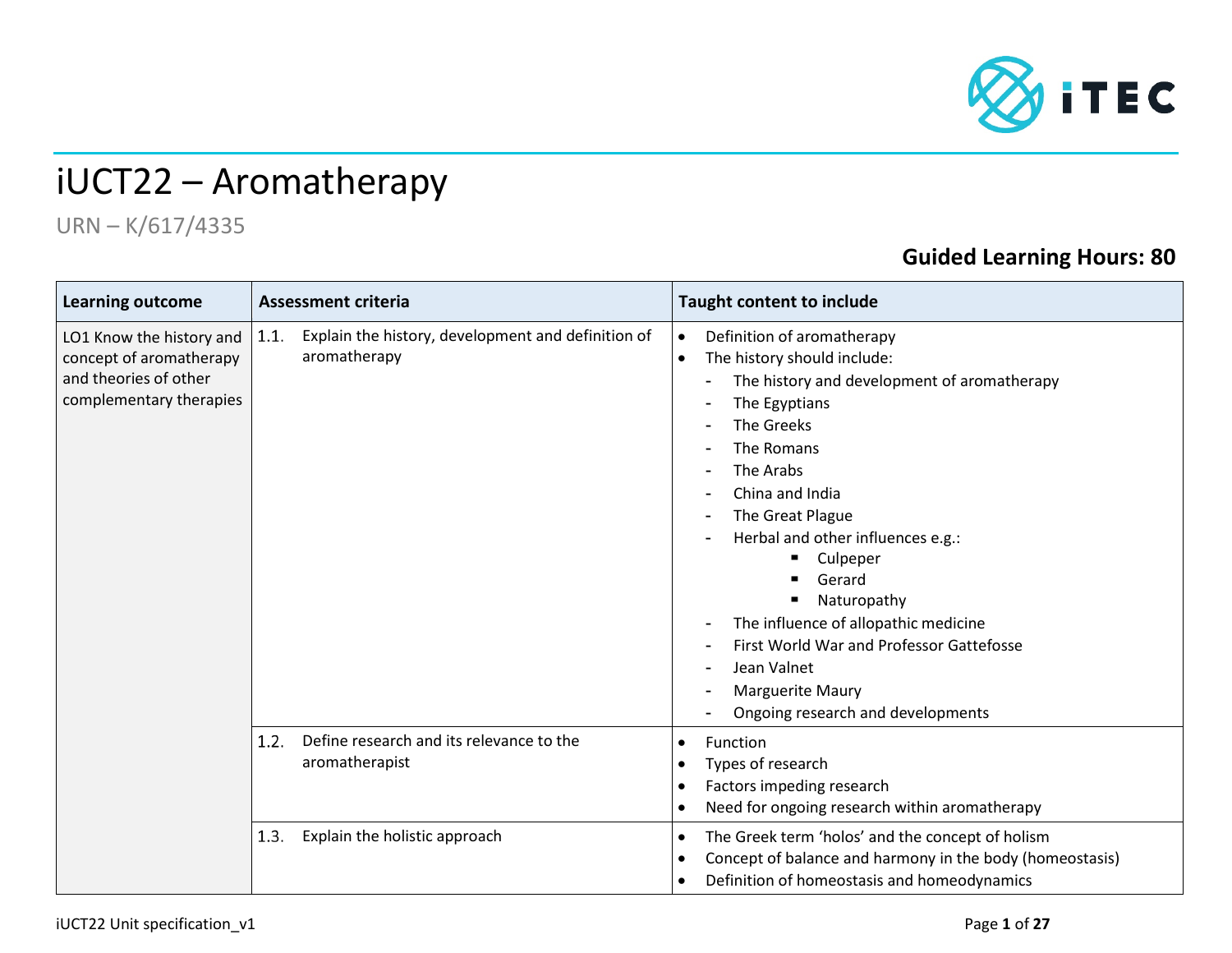

## iUCT22 – Aromatherapy

## URN – K/617/4335

## **Guided Learning Hours: 80**

| <b>Learning outcome</b>                                                                                 | <b>Assessment criteria</b>                                                 | <b>Taught content to include</b>                                                                                                                                                                                                                                                                                                                                                                                                                                                 |  |  |
|---------------------------------------------------------------------------------------------------------|----------------------------------------------------------------------------|----------------------------------------------------------------------------------------------------------------------------------------------------------------------------------------------------------------------------------------------------------------------------------------------------------------------------------------------------------------------------------------------------------------------------------------------------------------------------------|--|--|
| LO1 Know the history and<br>concept of aromatherapy<br>and theories of other<br>complementary therapies | Explain the history, development and definition of<br>1.1.<br>aromatherapy | Definition of aromatherapy<br>$\bullet$<br>The history should include:<br>$\bullet$<br>The history and development of aromatherapy<br>The Egyptians<br>The Greeks<br>The Romans<br>The Arabs<br>China and India<br>The Great Plague<br>Herbal and other influences e.g.:<br>Culpeper<br>Gerard<br>Naturopathy<br>The influence of allopathic medicine<br>First World War and Professor Gattefosse<br>Jean Valnet<br><b>Marguerite Maury</b><br>Ongoing research and developments |  |  |
|                                                                                                         | Define research and its relevance to the<br>1.2.<br>aromatherapist         | Function<br>$\bullet$<br>Types of research<br>$\bullet$<br>Factors impeding research<br>٠<br>Need for ongoing research within aromatherapy<br>$\bullet$                                                                                                                                                                                                                                                                                                                          |  |  |
|                                                                                                         | Explain the holistic approach<br>1.3.                                      | The Greek term 'holos' and the concept of holism<br>$\bullet$<br>Concept of balance and harmony in the body (homeostasis)<br>$\bullet$<br>Definition of homeostasis and homeodynamics<br>$\bullet$                                                                                                                                                                                                                                                                               |  |  |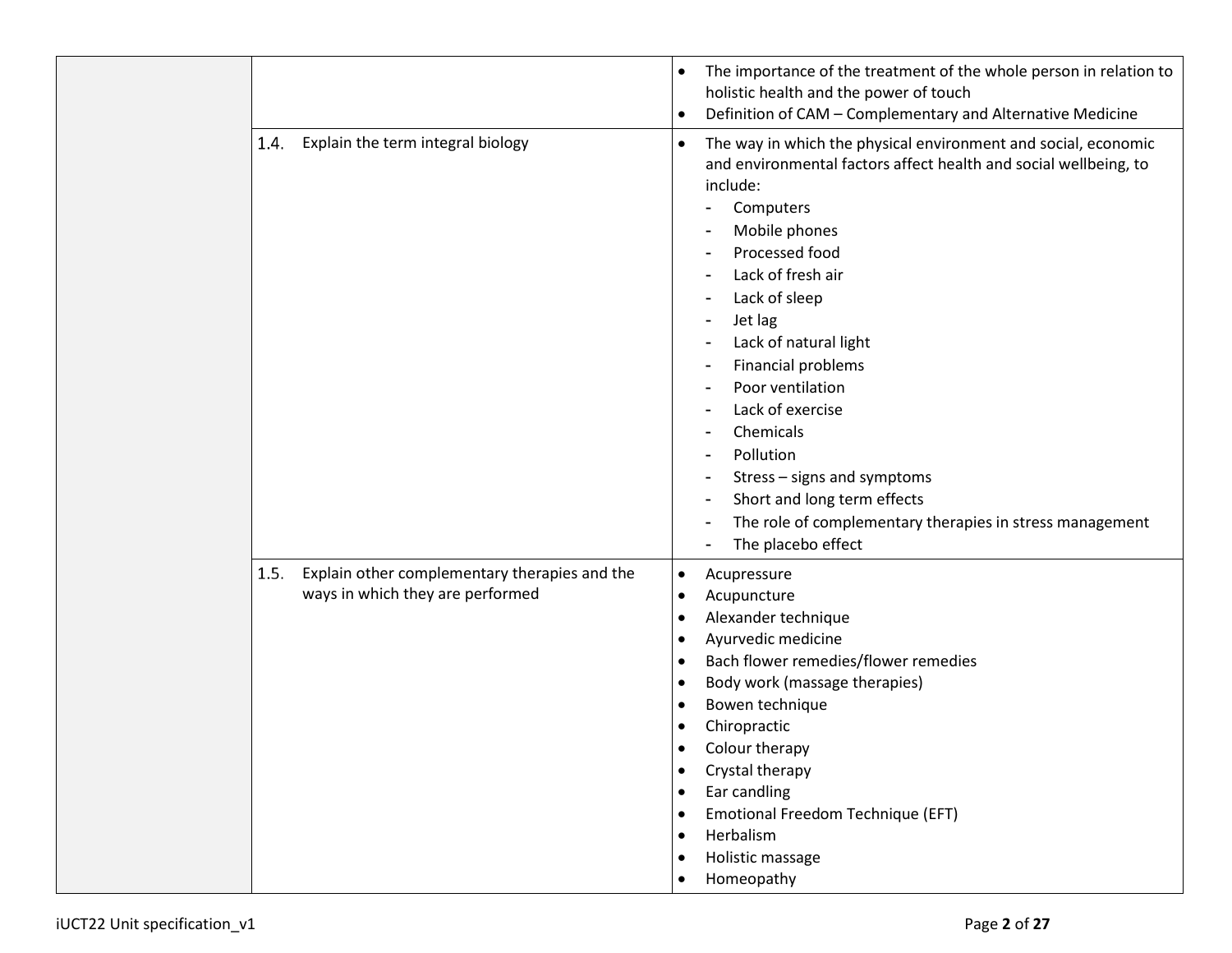|                                                                                           | The importance of the treatment of the whole person in relation to<br>$\bullet$<br>holistic health and the power of touch<br>Definition of CAM - Complementary and Alternative Medicine<br>$\bullet$                                                                                                                                                                                                                                                                                                                                    |
|-------------------------------------------------------------------------------------------|-----------------------------------------------------------------------------------------------------------------------------------------------------------------------------------------------------------------------------------------------------------------------------------------------------------------------------------------------------------------------------------------------------------------------------------------------------------------------------------------------------------------------------------------|
| Explain the term integral biology<br>1.4.                                                 | The way in which the physical environment and social, economic<br>$\bullet$<br>and environmental factors affect health and social wellbeing, to<br>include:<br>Computers<br>Mobile phones<br>Processed food<br>Lack of fresh air<br>Lack of sleep<br>Jet lag<br>Lack of natural light<br>Financial problems<br>Poor ventilation<br>Lack of exercise<br>Chemicals<br>Pollution<br>Stress - signs and symptoms<br>Short and long term effects<br>The role of complementary therapies in stress management<br>۰<br>The placebo effect<br>٠ |
| 1.5.<br>Explain other complementary therapies and the<br>ways in which they are performed | Acupressure<br>$\bullet$<br>Acupuncture<br>$\bullet$<br>Alexander technique<br>$\bullet$<br>Ayurvedic medicine<br>$\bullet$<br>Bach flower remedies/flower remedies<br>$\bullet$<br>Body work (massage therapies)<br>$\bullet$<br>Bowen technique<br>$\bullet$<br>Chiropractic<br>Colour therapy<br>Crystal therapy<br>$\bullet$<br>Ear candling<br>$\bullet$<br>Emotional Freedom Technique (EFT)<br>Herbalism<br>Holistic massage<br>Homeopathy                                                                                       |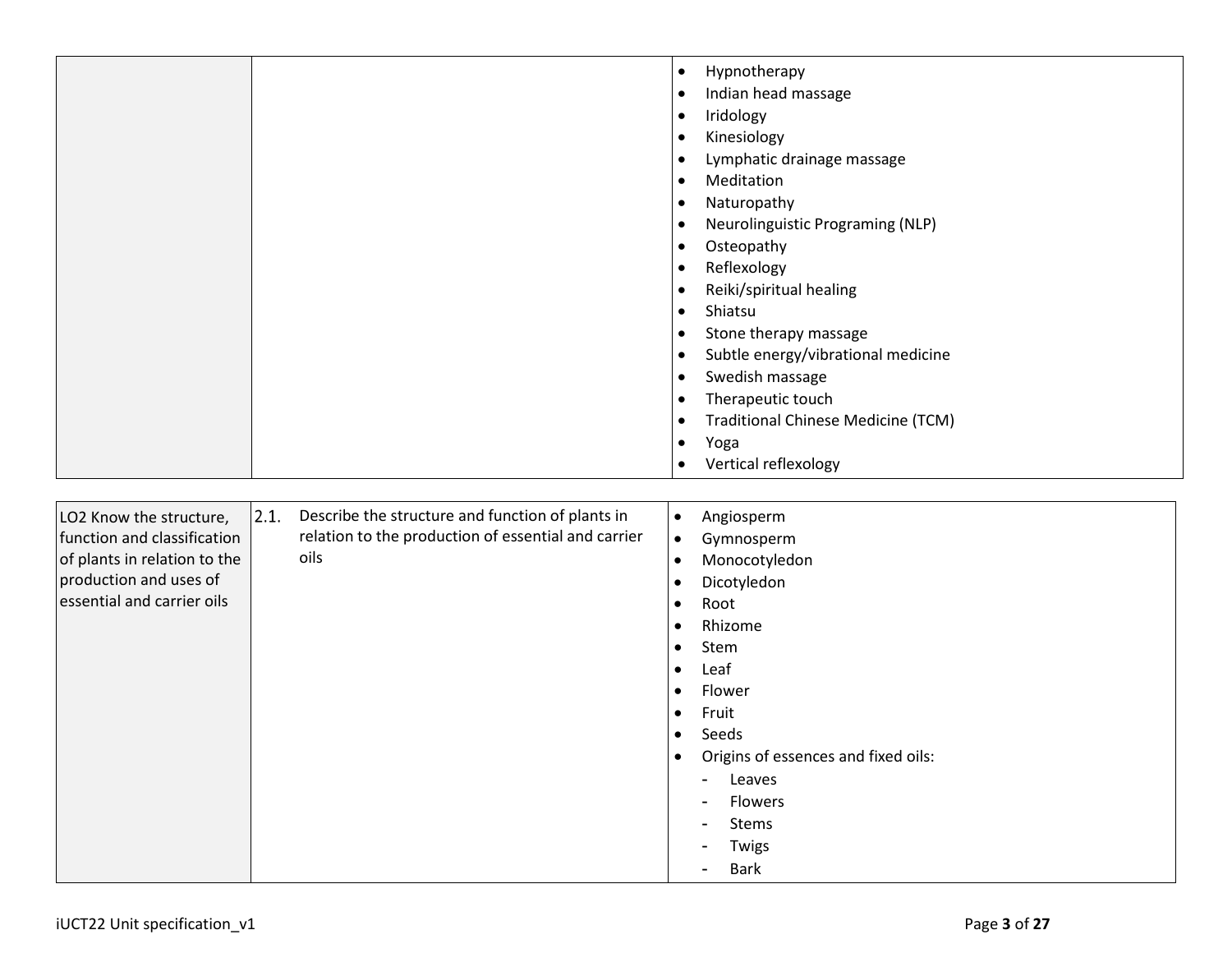|  | Hypnotherapy<br>$\bullet$                              |
|--|--------------------------------------------------------|
|  | Indian head massage<br>$\bullet$                       |
|  | Iridology<br>$\bullet$                                 |
|  | Kinesiology<br>$\bullet$                               |
|  | Lymphatic drainage massage<br>$\bullet$                |
|  | Meditation<br>$\bullet$                                |
|  | Naturopathy<br>$\bullet$                               |
|  | Neurolinguistic Programing (NLP)<br>$\bullet$          |
|  | Osteopathy<br>$\bullet$                                |
|  | Reflexology<br>$\bullet$                               |
|  | Reiki/spiritual healing<br>$\bullet$                   |
|  | Shiatsu<br>$\bullet$                                   |
|  | Stone therapy massage<br>$\bullet$                     |
|  | Subtle energy/vibrational medicine<br>$\bullet$        |
|  | Swedish massage<br>$\bullet$                           |
|  | Therapeutic touch<br>$\bullet$                         |
|  | <b>Traditional Chinese Medicine (TCM)</b><br>$\bullet$ |
|  | Yoga<br>$\bullet$                                      |
|  | Vertical reflexology<br>$\bullet$                      |
|  |                                                        |

| 2.1.<br>Describe the structure and function of plants in<br>LO2 Know the structure,<br>relation to the production of essential and carrier<br>function and classification<br>oils<br>of plants in relation to the<br>production and uses of<br>essential and carrier oils | Angiosperm<br>$\bullet$<br>$\bullet$<br>Gymnosperm<br>Monocotyledon<br>$\bullet$<br>Dicotyledon<br>$\bullet$<br>Root<br>$\bullet$<br>Rhizome<br>$\bullet$<br>Stem<br>$\bullet$<br>Leaf<br>$\bullet$<br>Flower<br>$\bullet$<br>Fruit<br>$\bullet$<br>Seeds<br>$\bullet$<br>Origins of essences and fixed oils:<br>$\bullet$<br>Leaves<br>$\blacksquare$<br><b>Flowers</b><br>$\sim$<br>Stems<br>$\sim$<br>Twigs<br>$\blacksquare$<br><b>Bark</b><br>۰. |
|---------------------------------------------------------------------------------------------------------------------------------------------------------------------------------------------------------------------------------------------------------------------------|-------------------------------------------------------------------------------------------------------------------------------------------------------------------------------------------------------------------------------------------------------------------------------------------------------------------------------------------------------------------------------------------------------------------------------------------------------|
|---------------------------------------------------------------------------------------------------------------------------------------------------------------------------------------------------------------------------------------------------------------------------|-------------------------------------------------------------------------------------------------------------------------------------------------------------------------------------------------------------------------------------------------------------------------------------------------------------------------------------------------------------------------------------------------------------------------------------------------------|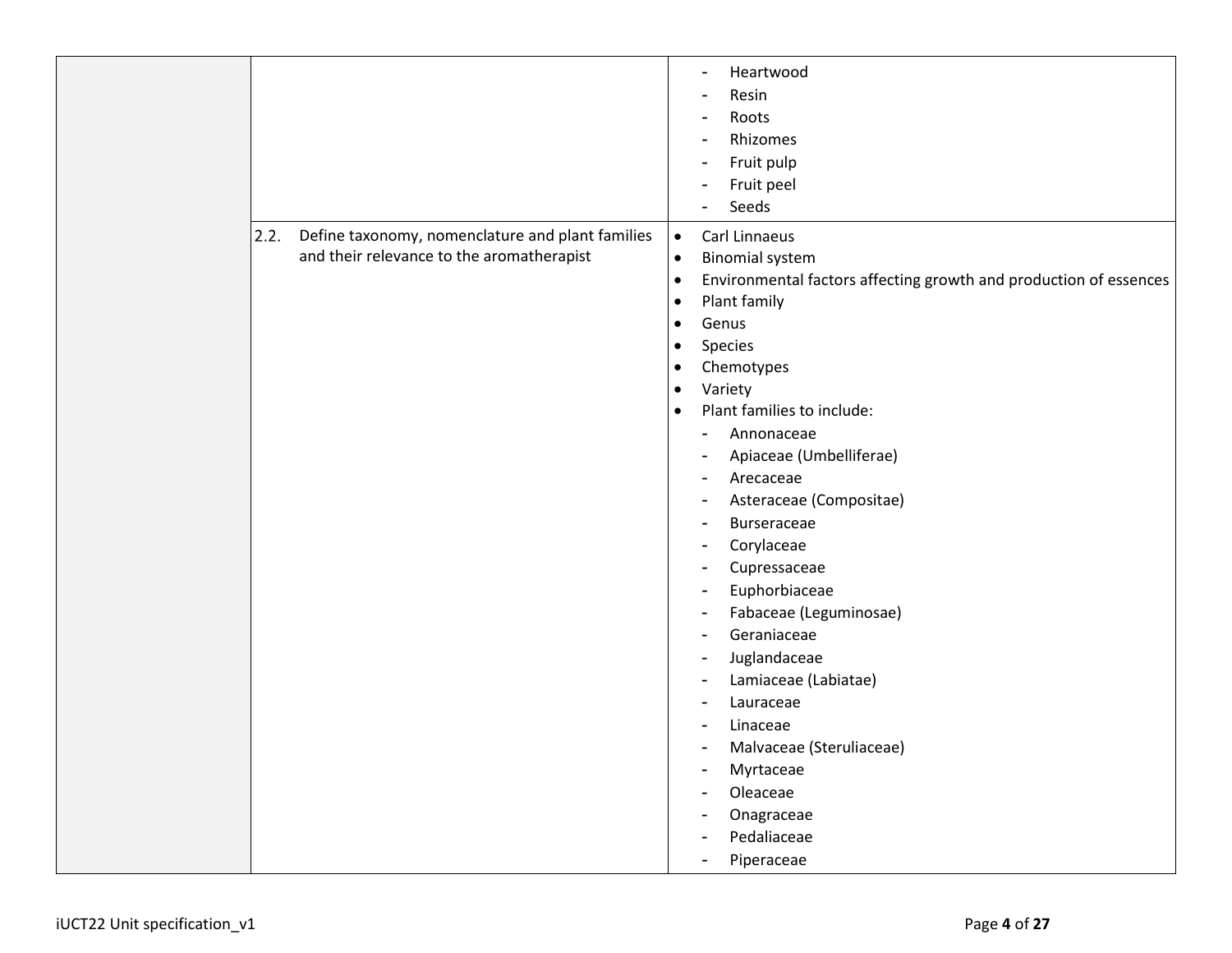|                                                                                                       | Heartwood<br>$\blacksquare$<br>Resin<br>$\blacksquare$<br>Roots<br>$\blacksquare$<br>Rhizomes<br>L,<br>Fruit pulp<br>$\blacksquare$<br>Fruit peel<br>$\blacksquare$<br>Seeds<br>$\overline{a}$                                                                                                                                                                                                                                                                                                                                                                                                                                                                                                                                                                                                                                                                                                                                                                                                                                 |
|-------------------------------------------------------------------------------------------------------|--------------------------------------------------------------------------------------------------------------------------------------------------------------------------------------------------------------------------------------------------------------------------------------------------------------------------------------------------------------------------------------------------------------------------------------------------------------------------------------------------------------------------------------------------------------------------------------------------------------------------------------------------------------------------------------------------------------------------------------------------------------------------------------------------------------------------------------------------------------------------------------------------------------------------------------------------------------------------------------------------------------------------------|
| 2.2.<br>Define taxonomy, nomenclature and plant families<br>and their relevance to the aromatherapist | $\bullet$<br>Carl Linnaeus<br><b>Binomial system</b><br>$\bullet$<br>Environmental factors affecting growth and production of essences<br>$\bullet$<br>Plant family<br>$\bullet$<br>Genus<br>$\bullet$<br>Species<br>$\bullet$<br>Chemotypes<br>$\bullet$<br>Variety<br>$\bullet$<br>Plant families to include:<br>$\bullet$<br>Annonaceae<br>$\frac{1}{2}$<br>Apiaceae (Umbelliferae)<br>$\blacksquare$<br>Arecaceae<br>$\blacksquare$<br>Asteraceae (Compositae)<br>$\blacksquare$<br>Burseraceae<br>$\overline{a}$<br>Corylaceae<br>$\blacksquare$<br>Cupressaceae<br>$\blacksquare$<br>Euphorbiaceae<br>$\blacksquare$<br>Fabaceae (Leguminosae)<br>$\blacksquare$<br>Geraniaceae<br>$\blacksquare$<br>Juglandaceae<br>$\blacksquare$<br>Lamiaceae (Labiatae)<br>$\blacksquare$<br>Lauraceae<br>$\blacksquare$<br>Linaceae<br>$\blacksquare$<br>Malvaceae (Steruliaceae)<br>$\blacksquare$<br>Myrtaceae<br>$\blacksquare$<br>Oleaceae<br>Ē,<br>Onagraceae<br>$\blacksquare$<br>Pedaliaceae<br>Piperaceae<br>$\blacksquare$ |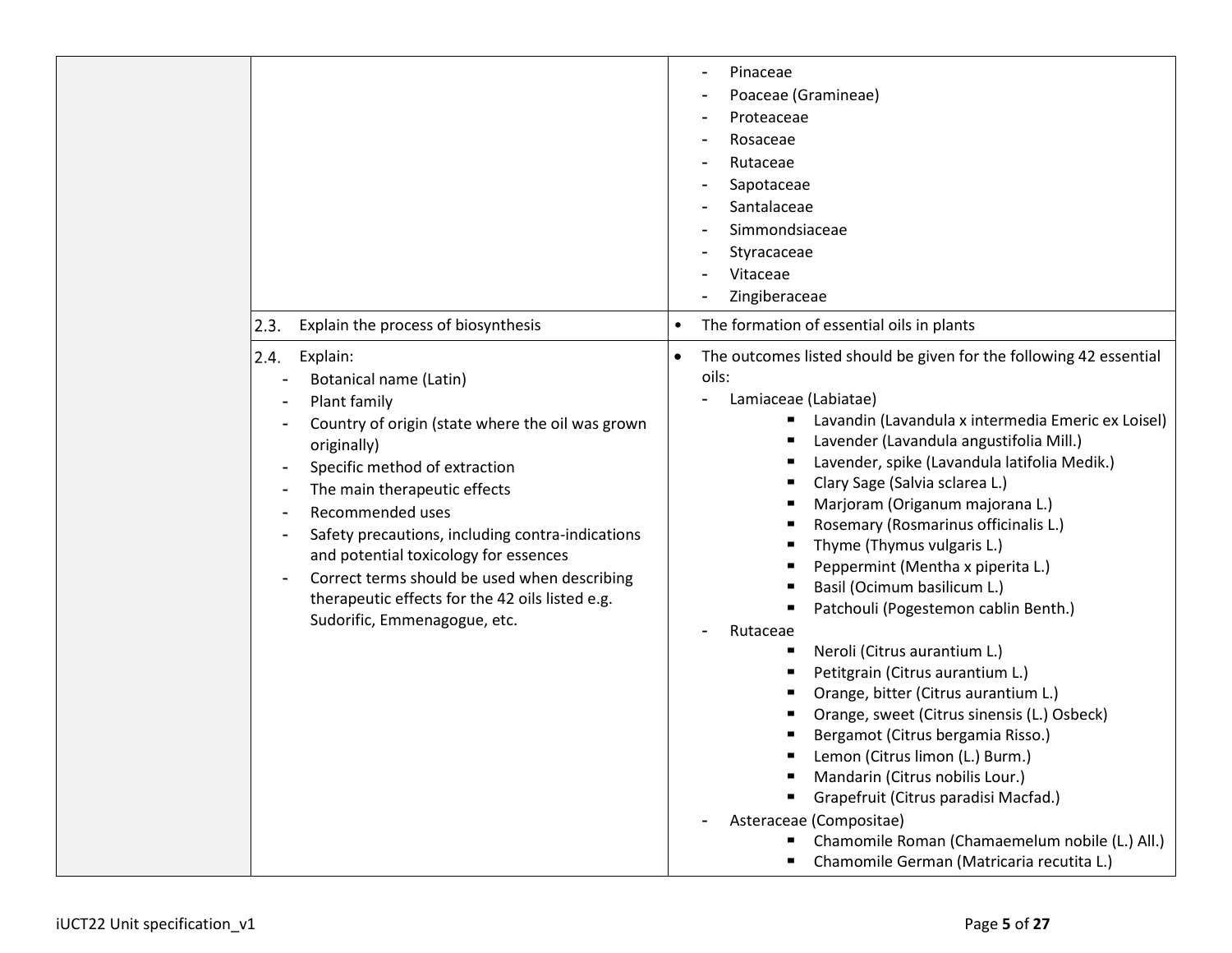| Explain the process of biosynthesis<br>2.3.                                                                                                                                                                                                                                                                                                                                                                                                        | Pinaceae<br>Poaceae (Gramineae)<br>Proteaceae<br>Rosaceae<br>Rutaceae<br>Sapotaceae<br>Santalaceae<br>Simmondsiaceae<br>Styracaceae<br>Vitaceae<br>Zingiberaceae<br>The formation of essential oils in plants<br>٠                                                                                                                                                                                                                                                                                                                                                                                                                                                                                                                                                                                                                                                                                                                                                                                                      |
|----------------------------------------------------------------------------------------------------------------------------------------------------------------------------------------------------------------------------------------------------------------------------------------------------------------------------------------------------------------------------------------------------------------------------------------------------|-------------------------------------------------------------------------------------------------------------------------------------------------------------------------------------------------------------------------------------------------------------------------------------------------------------------------------------------------------------------------------------------------------------------------------------------------------------------------------------------------------------------------------------------------------------------------------------------------------------------------------------------------------------------------------------------------------------------------------------------------------------------------------------------------------------------------------------------------------------------------------------------------------------------------------------------------------------------------------------------------------------------------|
| 2.4.<br>Explain:<br>Botanical name (Latin)<br>Plant family<br>Country of origin (state where the oil was grown<br>originally)<br>Specific method of extraction<br>The main therapeutic effects<br>Recommended uses<br>Safety precautions, including contra-indications<br>and potential toxicology for essences<br>Correct terms should be used when describing<br>therapeutic effects for the 42 oils listed e.g.<br>Sudorific, Emmenagogue, etc. | The outcomes listed should be given for the following 42 essential<br>$\bullet$<br>oils:<br>Lamiaceae (Labiatae)<br>Lavandin (Lavandula x intermedia Emeric ex Loisel)<br>Lavender (Lavandula angustifolia Mill.)<br>Lavender, spike (Lavandula latifolia Medik.)<br>٠<br>Clary Sage (Salvia sclarea L.)<br>٠<br>Marjoram (Origanum majorana L.)<br>Rosemary (Rosmarinus officinalis L.)<br>Thyme (Thymus vulgaris L.)<br>Peppermint (Mentha x piperita L.)<br>Basil (Ocimum basilicum L.)<br>Patchouli (Pogestemon cablin Benth.)<br>Rutaceae<br>Neroli (Citrus aurantium L.)<br>٠<br>Petitgrain (Citrus aurantium L.)<br>٠<br>Orange, bitter (Citrus aurantium L.)<br>٠<br>Orange, sweet (Citrus sinensis (L.) Osbeck)<br>Bergamot (Citrus bergamia Risso.)<br>Lemon (Citrus limon (L.) Burm.)<br>Mandarin (Citrus nobilis Lour.)<br>Grapefruit (Citrus paradisi Macfad.)<br>$\blacksquare$<br>Asteraceae (Compositae)<br>Chamomile Roman (Chamaemelum nobile (L.) All.)<br>Chamomile German (Matricaria recutita L.) |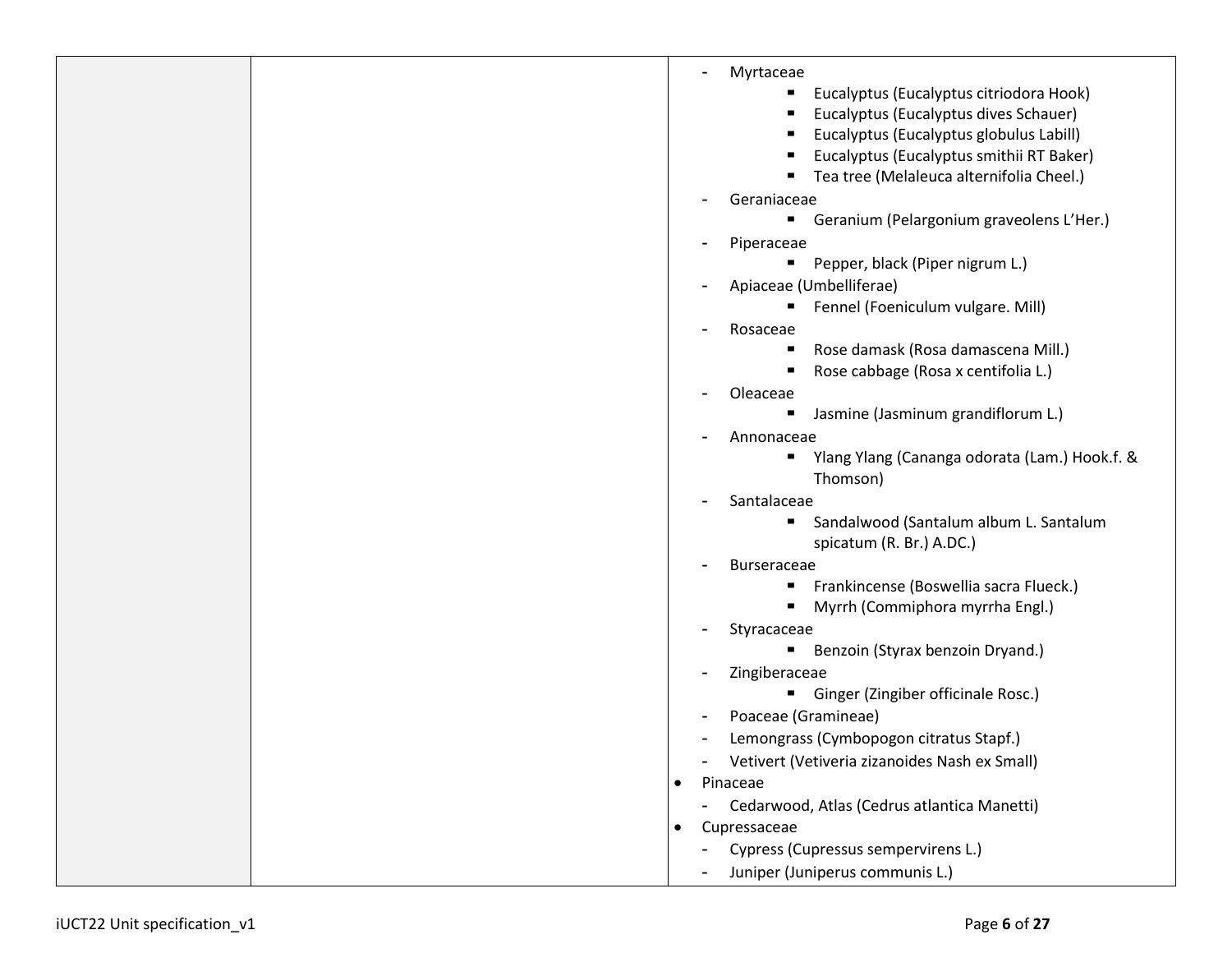|  | Myrtaceae<br>$\blacksquare$                               |  |
|--|-----------------------------------------------------------|--|
|  | Eucalyptus (Eucalyptus citriodora Hook)<br>٠              |  |
|  | Eucalyptus (Eucalyptus dives Schauer)                     |  |
|  | Eucalyptus (Eucalyptus globulus Labill)                   |  |
|  | Eucalyptus (Eucalyptus smithii RT Baker)                  |  |
|  | Tea tree (Melaleuca alternifolia Cheel.)                  |  |
|  | Geraniaceae<br>-                                          |  |
|  | Geranium (Pelargonium graveolens L'Her.)<br>п             |  |
|  | Piperaceae<br>$\blacksquare$                              |  |
|  | Pepper, black (Piper nigrum L.)                           |  |
|  | Apiaceae (Umbelliferae)<br>-                              |  |
|  | Fennel (Foeniculum vulgare. Mill)<br>٠                    |  |
|  | Rosaceae<br>-                                             |  |
|  | Rose damask (Rosa damascena Mill.)<br>ш                   |  |
|  | Rose cabbage (Rosa x centifolia L.)                       |  |
|  | Oleaceae<br>-                                             |  |
|  | Jasmine (Jasminum grandiflorum L.)<br>٠                   |  |
|  | Annonaceae<br>-                                           |  |
|  | Ylang Ylang (Cananga odorata (Lam.) Hook.f. &             |  |
|  | Thomson)                                                  |  |
|  | Santalaceae<br>-                                          |  |
|  | Sandalwood (Santalum album L. Santalum<br>ш               |  |
|  | spicatum (R. Br.) A.DC.)                                  |  |
|  | <b>Burseraceae</b>                                        |  |
|  | Frankincense (Boswellia sacra Flueck.)                    |  |
|  | Myrrh (Commiphora myrrha Engl.)                           |  |
|  | Styracaceae<br>-                                          |  |
|  | Benzoin (Styrax benzoin Dryand.)                          |  |
|  | Zingiberaceae<br>$\blacksquare$                           |  |
|  | Ginger (Zingiber officinale Rosc.)<br>٠                   |  |
|  | Poaceae (Gramineae)<br>$\overline{a}$                     |  |
|  | Lemongrass (Cymbopogon citratus Stapf.)<br>$\blacksquare$ |  |
|  | Vetivert (Vetiveria zizanoides Nash ex Small)<br>-        |  |
|  | Pinaceae                                                  |  |
|  | Cedarwood, Atlas (Cedrus atlantica Manetti)<br>-          |  |
|  | Cupressaceae<br>$\bullet$                                 |  |
|  | Cypress (Cupressus sempervirens L.)<br>-                  |  |
|  | Juniper (Juniperus communis L.)                           |  |
|  |                                                           |  |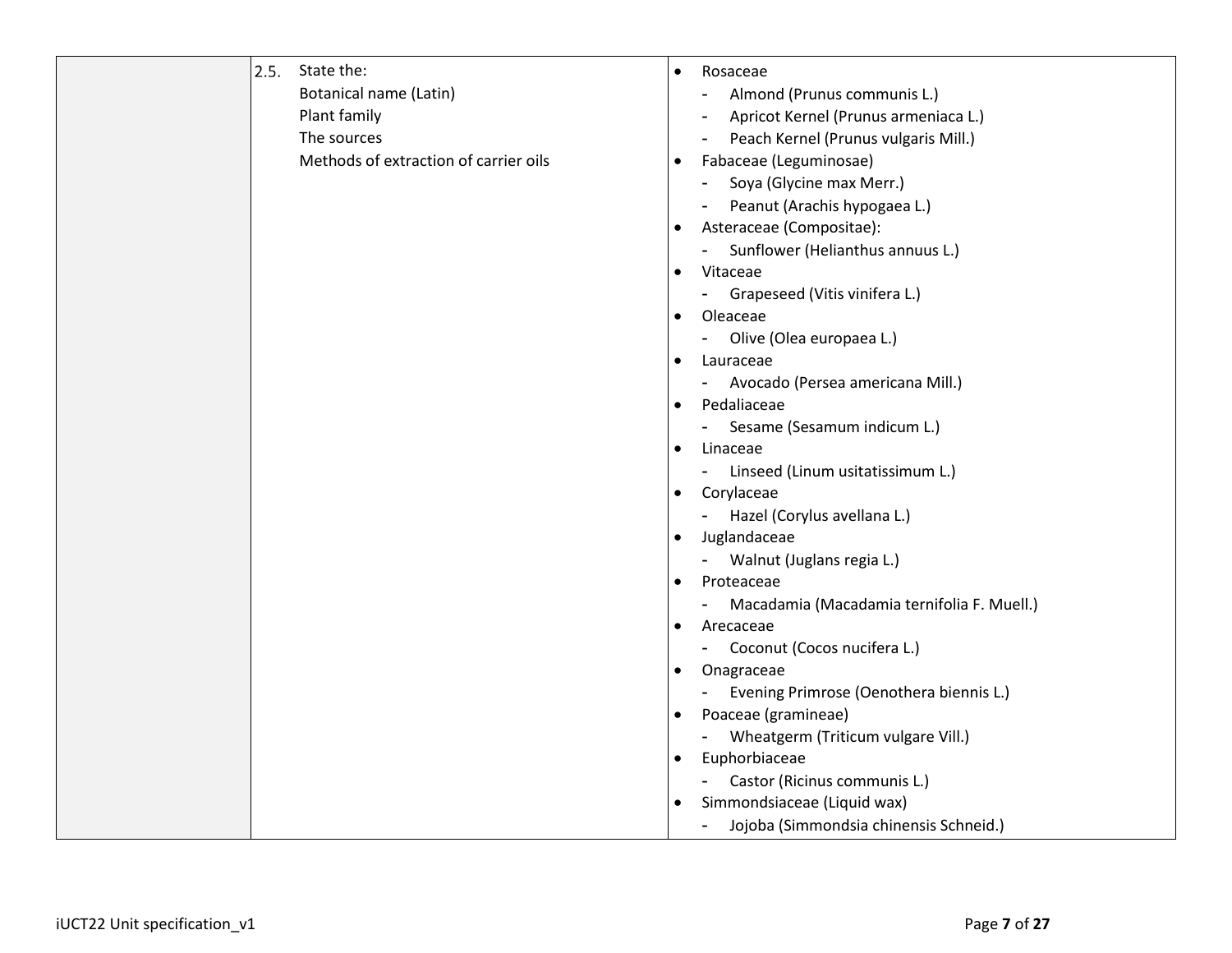| 2.5. | State the:                            | $\bullet$ | Rosaceae                                       |
|------|---------------------------------------|-----------|------------------------------------------------|
|      | Botanical name (Latin)                |           | Almond (Prunus communis L.)<br>$\blacksquare$  |
|      | Plant family                          |           | Apricot Kernel (Prunus armeniaca L.)           |
|      | The sources                           |           | Peach Kernel (Prunus vulgaris Mill.)           |
|      | Methods of extraction of carrier oils | $\bullet$ | Fabaceae (Leguminosae)                         |
|      |                                       |           | Soya (Glycine max Merr.)<br>$\blacksquare$     |
|      |                                       |           | Peanut (Arachis hypogaea L.)<br>$\blacksquare$ |
|      |                                       | $\bullet$ | Asteraceae (Compositae):                       |
|      |                                       |           | Sunflower (Helianthus annuus L.)               |
|      |                                       | $\bullet$ | Vitaceae                                       |
|      |                                       |           | Grapeseed (Vitis vinifera L.)                  |
|      |                                       |           | Oleaceae                                       |
|      |                                       |           | Olive (Olea europaea L.)                       |
|      |                                       | ٠         | Lauraceae                                      |
|      |                                       |           | Avocado (Persea americana Mill.)               |
|      |                                       |           | Pedaliaceae                                    |
|      |                                       |           | Sesame (Sesamum indicum L.)                    |
|      |                                       | $\bullet$ | Linaceae                                       |
|      |                                       |           | Linseed (Linum usitatissimum L.)<br>$\sim$     |
|      |                                       | $\bullet$ | Corylaceae                                     |
|      |                                       |           | Hazel (Corylus avellana L.)                    |
|      |                                       | $\bullet$ | Juglandaceae                                   |
|      |                                       |           | Walnut (Juglans regia L.)                      |
|      |                                       | $\bullet$ | Proteaceae                                     |
|      |                                       |           | Macadamia (Macadamia ternifolia F. Muell.)     |
|      |                                       | ٠         | Arecaceae                                      |
|      |                                       |           | Coconut (Cocos nucifera L.)<br>$\sim 100$      |
|      |                                       | $\bullet$ | Onagraceae                                     |
|      |                                       |           | Evening Primrose (Oenothera biennis L.)        |
|      |                                       | $\bullet$ | Poaceae (gramineae)                            |
|      |                                       |           | Wheatgerm (Triticum vulgare Vill.)             |
|      |                                       |           | Euphorbiaceae                                  |
|      |                                       |           | Castor (Ricinus communis L.)                   |
|      |                                       | ٠         | Simmondsiaceae (Liquid wax)                    |
|      |                                       |           | Jojoba (Simmondsia chinensis Schneid.)         |
|      |                                       |           |                                                |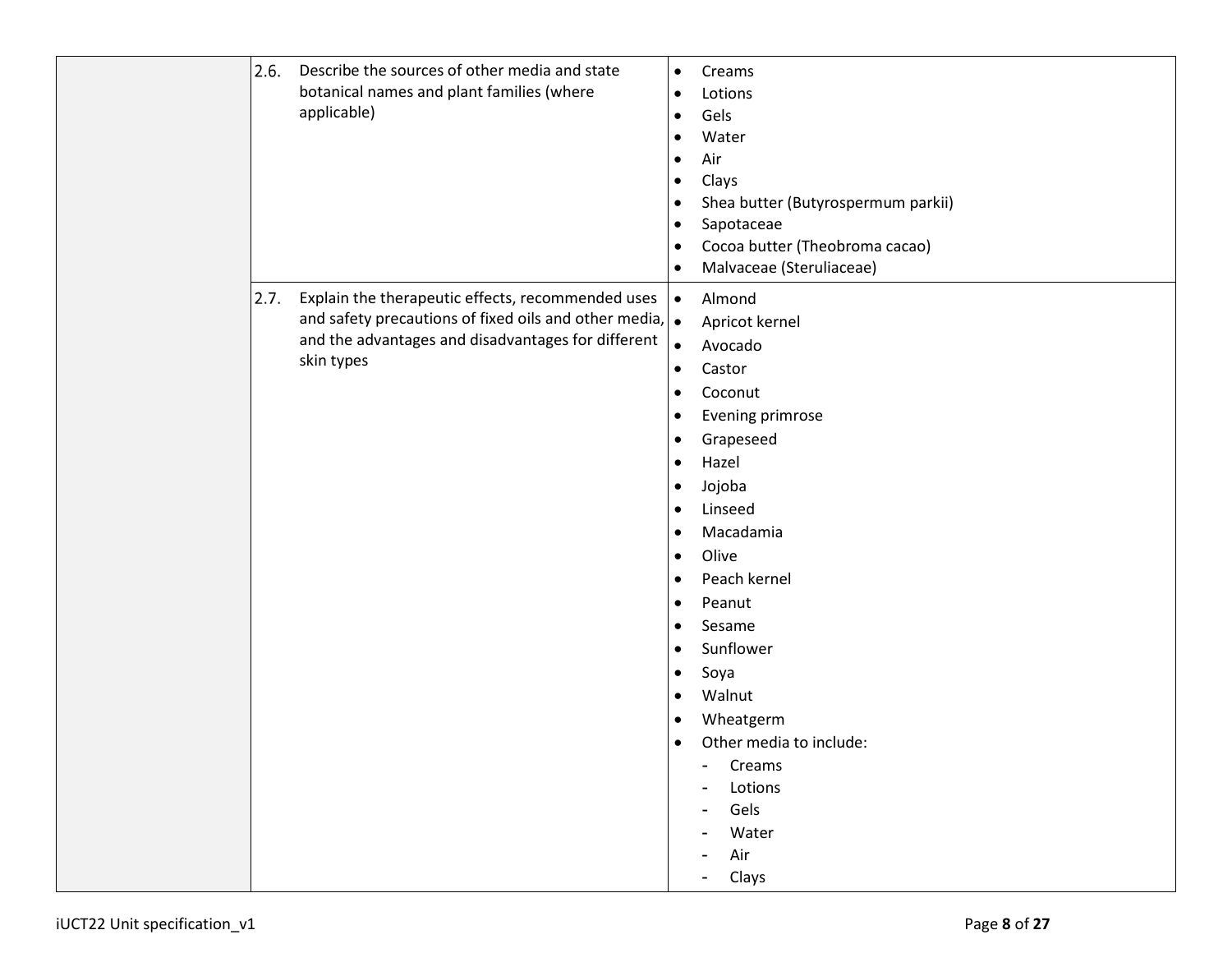| 2.6. | Describe the sources of other media and state<br>botanical names and plant families (where<br>applicable)                                                                                | $\bullet$<br>$\bullet$<br>$\bullet$<br>$\bullet$<br>٠<br>$\bullet$<br>٠<br>$\bullet$<br>$\bullet$<br>$\bullet$                                                                                 | Creams<br>Lotions<br>Gels<br>Water<br>Air<br>Clays<br>Shea butter (Butyrospermum parkii)<br>Sapotaceae<br>Cocoa butter (Theobroma cacao)<br>Malvaceae (Steruliaceae)                                                                                                                                                             |
|------|------------------------------------------------------------------------------------------------------------------------------------------------------------------------------------------|------------------------------------------------------------------------------------------------------------------------------------------------------------------------------------------------|----------------------------------------------------------------------------------------------------------------------------------------------------------------------------------------------------------------------------------------------------------------------------------------------------------------------------------|
| 2.7. | Explain the therapeutic effects, recommended uses<br>and safety precautions of fixed oils and other media, $\bullet$<br>and the advantages and disadvantages for different<br>skin types | $\bullet$<br>$\bullet$<br>$\bullet$<br>٠<br>$\bullet$<br>$\bullet$<br>$\bullet$<br>٠<br>$\bullet$<br>$\bullet$<br>$\bullet$<br>$\bullet$<br>$\bullet$<br>$\bullet$<br>$\bullet$<br>٠<br>٠<br>٠ | Almond<br>Apricot kernel<br>Avocado<br>Castor<br>Coconut<br>Evening primrose<br>Grapeseed<br>Hazel<br>Jojoba<br>Linseed<br>Macadamia<br>Olive<br>Peach kernel<br>Peanut<br>Sesame<br>Sunflower<br>Soya<br>Walnut<br>Wheatgerm<br>Other media to include:<br>Creams<br>Lotions<br>Gels<br>Water<br>Air<br>$\blacksquare$<br>Clays |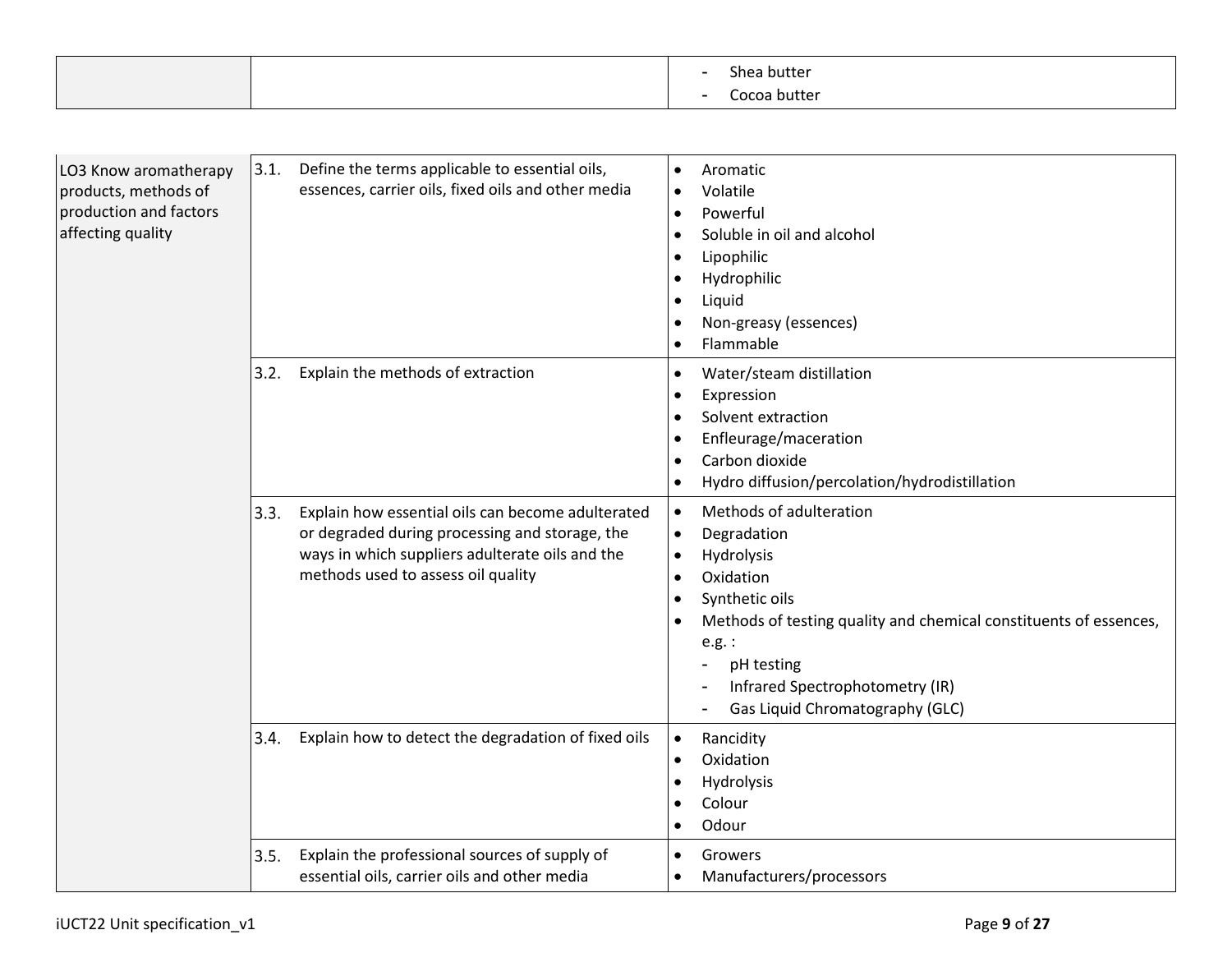|  | nut<br>ΤР<br>. |
|--|----------------|
|  |                |

| LO3 Know aromatherapy<br>products, methods of<br>production and factors<br>affecting quality | 3.1. | Define the terms applicable to essential oils,<br>essences, carrier oils, fixed oils and other media                                                                                         | $\bullet$<br>$\bullet$<br>$\bullet$<br>$\bullet$ | Aromatic<br>Volatile<br>Powerful<br>Soluble in oil and alcohol<br>Lipophilic<br>Hydrophilic<br>Liquid<br>Non-greasy (essences)<br>Flammable                                                                                                              |
|----------------------------------------------------------------------------------------------|------|----------------------------------------------------------------------------------------------------------------------------------------------------------------------------------------------|--------------------------------------------------|----------------------------------------------------------------------------------------------------------------------------------------------------------------------------------------------------------------------------------------------------------|
|                                                                                              | 3.2. | Explain the methods of extraction                                                                                                                                                            | $\bullet$<br>$\bullet$<br>$\bullet$              | Water/steam distillation<br>Expression<br>Solvent extraction<br>Enfleurage/maceration<br>Carbon dioxide<br>Hydro diffusion/percolation/hydrodistillation                                                                                                 |
|                                                                                              | 3.3. | Explain how essential oils can become adulterated<br>or degraded during processing and storage, the<br>ways in which suppliers adulterate oils and the<br>methods used to assess oil quality | $\bullet$<br>$\bullet$<br>$\bullet$<br>$\bullet$ | Methods of adulteration<br>Degradation<br>Hydrolysis<br>Oxidation<br>Synthetic oils<br>Methods of testing quality and chemical constituents of essences,<br>$e.g.$ :<br>pH testing<br>Infrared Spectrophotometry (IR)<br>Gas Liquid Chromatography (GLC) |
|                                                                                              | 3.4. | Explain how to detect the degradation of fixed oils                                                                                                                                          | $\bullet$<br>$\bullet$                           | Rancidity<br>Oxidation<br>Hydrolysis<br>Colour<br>Odour                                                                                                                                                                                                  |
|                                                                                              | 3.5. | Explain the professional sources of supply of<br>essential oils, carrier oils and other media                                                                                                | $\bullet$                                        | Growers<br>Manufacturers/processors                                                                                                                                                                                                                      |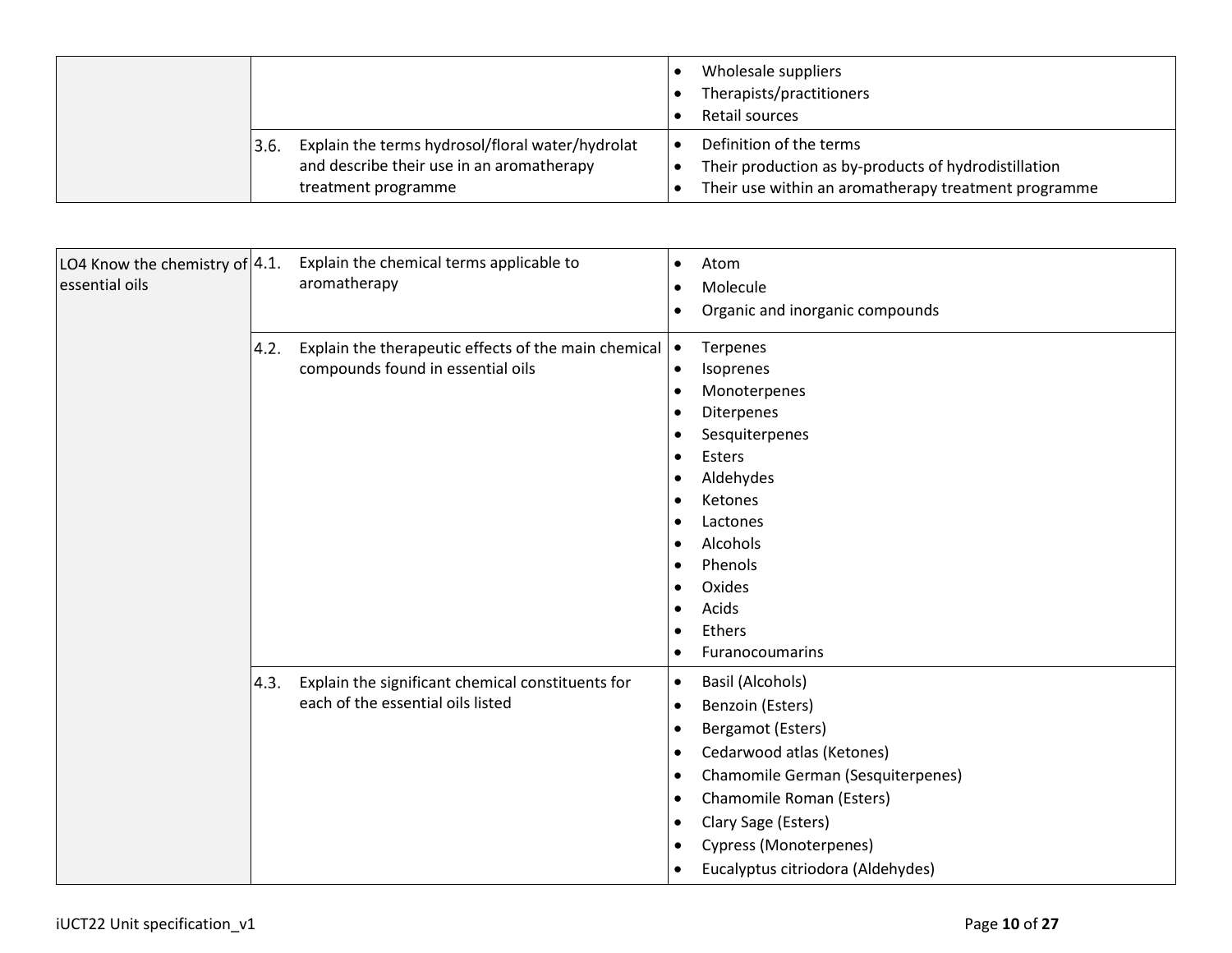|                                                                                                                              | Wholesale suppliers<br>Therapists/practitioners<br>Retail sources                                                                       |
|------------------------------------------------------------------------------------------------------------------------------|-----------------------------------------------------------------------------------------------------------------------------------------|
| Explain the terms hydrosol/floral water/hydrolat<br>3.6.<br>and describe their use in an aromatherapy<br>treatment programme | Definition of the terms<br>Their production as by-products of hydrodistillation<br>Their use within an aromatherapy treatment programme |

| LO4 Know the chemistry of $ 4.1$ .<br>essential oils |      | Explain the chemical terms applicable to<br>aromatherapy                                  | $\bullet$<br>$\bullet$<br>$\bullet$                                                                                                                           | Atom<br>Molecule<br>Organic and inorganic compounds                                                                                                                                                                                           |
|------------------------------------------------------|------|-------------------------------------------------------------------------------------------|---------------------------------------------------------------------------------------------------------------------------------------------------------------|-----------------------------------------------------------------------------------------------------------------------------------------------------------------------------------------------------------------------------------------------|
|                                                      | 4.2. | Explain the therapeutic effects of the main chemical<br>compounds found in essential oils | $\bullet$<br>$\bullet$<br>$\bullet$<br>$\bullet$<br>$\bullet$<br>$\bullet$<br>$\bullet$<br>$\bullet$<br>$\bullet$<br>$\bullet$<br>$\bullet$<br>$\bullet$<br>٠ | Terpenes<br>Isoprenes<br>Monoterpenes<br>Diterpenes<br>Sesquiterpenes<br>Esters<br>Aldehydes<br>Ketones<br>Lactones<br>Alcohols<br>Phenols<br>Oxides<br>Acids<br>Ethers<br>Furanocoumarins                                                    |
|                                                      | 4.3. | Explain the significant chemical constituents for<br>each of the essential oils listed    | $\bullet$<br>$\bullet$<br>$\bullet$<br>$\bullet$<br>$\bullet$<br>$\bullet$<br>$\bullet$<br>$\bullet$<br>$\bullet$                                             | Basil (Alcohols)<br>Benzoin (Esters)<br>Bergamot (Esters)<br>Cedarwood atlas (Ketones)<br>Chamomile German (Sesquiterpenes)<br>Chamomile Roman (Esters)<br>Clary Sage (Esters)<br>Cypress (Monoterpenes)<br>Eucalyptus citriodora (Aldehydes) |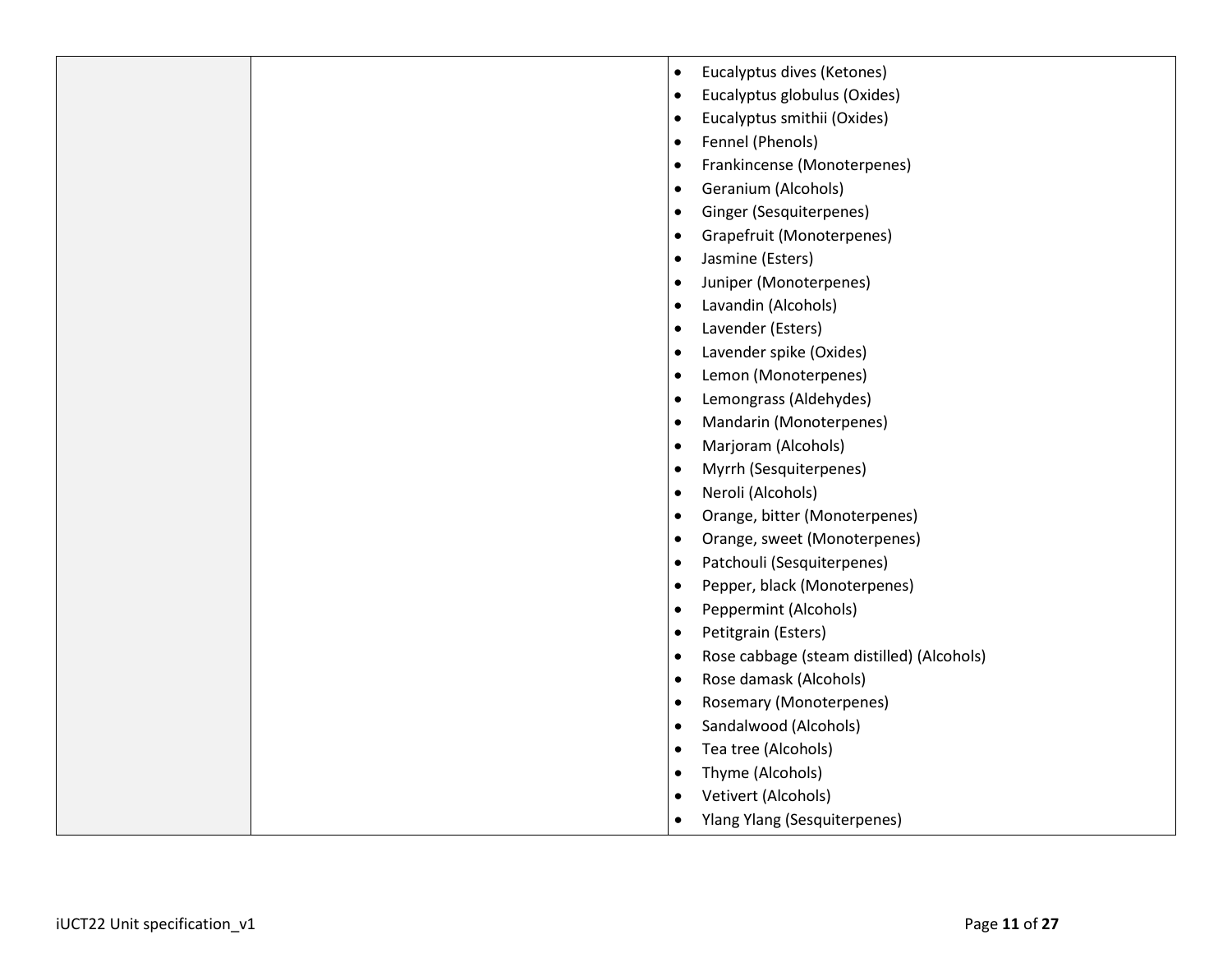| Eucalyptus dives (Ketones)<br>$\bullet$                |
|--------------------------------------------------------|
| Eucalyptus globulus (Oxides)<br>$\bullet$              |
| Eucalyptus smithii (Oxides)<br>$\bullet$               |
| Fennel (Phenols)<br>$\bullet$                          |
| Frankincense (Monoterpenes)<br>٠                       |
| Geranium (Alcohols)<br>٠                               |
| Ginger (Sesquiterpenes)<br>$\bullet$                   |
| Grapefruit (Monoterpenes)<br>$\bullet$                 |
| Jasmine (Esters)<br>$\bullet$                          |
| Juniper (Monoterpenes)<br>$\bullet$                    |
| Lavandin (Alcohols)<br>$\bullet$                       |
| Lavender (Esters)<br>$\bullet$                         |
| Lavender spike (Oxides)<br>$\bullet$                   |
| Lemon (Monoterpenes)<br>$\bullet$                      |
| Lemongrass (Aldehydes)<br>$\bullet$                    |
| Mandarin (Monoterpenes)<br>$\bullet$                   |
| Marjoram (Alcohols)<br>$\bullet$                       |
| Myrrh (Sesquiterpenes)<br>$\bullet$                    |
| Neroli (Alcohols)<br>$\bullet$                         |
| Orange, bitter (Monoterpenes)<br>$\bullet$             |
| Orange, sweet (Monoterpenes)<br>$\bullet$              |
| Patchouli (Sesquiterpenes)<br>$\bullet$                |
| Pepper, black (Monoterpenes)<br>$\bullet$              |
| Peppermint (Alcohols)<br>$\bullet$                     |
| Petitgrain (Esters)<br>$\bullet$                       |
| Rose cabbage (steam distilled) (Alcohols)<br>$\bullet$ |
| Rose damask (Alcohols)<br>$\bullet$                    |
| <b>Rosemary (Monoterpenes)</b><br>$\bullet$            |
| Sandalwood (Alcohols)<br>$\bullet$                     |
| Tea tree (Alcohols)<br>٠                               |
| Thyme (Alcohols)                                       |
| Vetivert (Alcohols)<br>٠                               |
| <b>Ylang Ylang (Sesquiterpenes)</b><br>$\bullet$       |
|                                                        |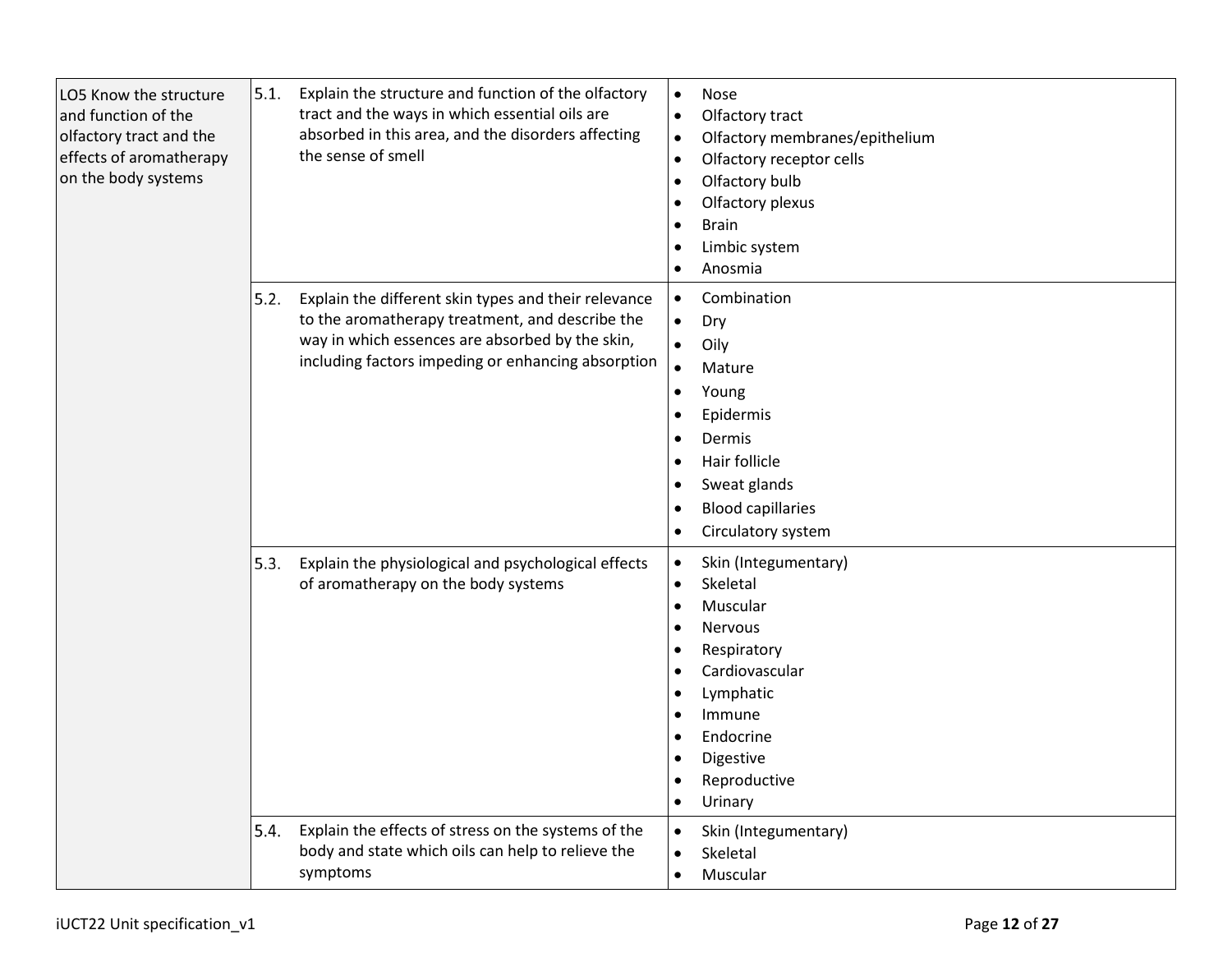| LO5 Know the structure<br>and function of the<br>olfactory tract and the<br>effects of aromatherapy<br>on the body systems | 5.1.         | Explain the structure and function of the olfactory<br>tract and the ways in which essential oils are<br>absorbed in this area, and the disorders affecting<br>the sense of smell                                | $\bullet$<br>$\bullet$<br>$\bullet$<br>$\bullet$<br>$\bullet$<br>$\bullet$<br>$\bullet$<br>$\bullet$<br>$\bullet$                           | Nose<br>Olfactory tract<br>Olfactory membranes/epithelium<br>Olfactory receptor cells<br>Olfactory bulb<br>Olfactory plexus<br><b>Brain</b><br>Limbic system<br>Anosmia     |
|----------------------------------------------------------------------------------------------------------------------------|--------------|------------------------------------------------------------------------------------------------------------------------------------------------------------------------------------------------------------------|---------------------------------------------------------------------------------------------------------------------------------------------|-----------------------------------------------------------------------------------------------------------------------------------------------------------------------------|
|                                                                                                                            | 5.2.         | Explain the different skin types and their relevance<br>to the aromatherapy treatment, and describe the<br>way in which essences are absorbed by the skin,<br>including factors impeding or enhancing absorption | $\bullet$<br>$\bullet$<br>$\bullet$<br>$\bullet$<br>$\bullet$<br>$\bullet$<br>$\bullet$<br>$\bullet$<br>$\bullet$<br>$\bullet$<br>$\bullet$ | Combination<br>Dry<br>Oily<br>Mature<br>Young<br>Epidermis<br>Dermis<br>Hair follicle<br>Sweat glands<br><b>Blood capillaries</b><br>Circulatory system                     |
|                                                                                                                            | 5.3.<br>5.4. | Explain the physiological and psychological effects<br>of aromatherapy on the body systems<br>Explain the effects of stress on the systems of the                                                                | $\bullet$<br>$\bullet$<br>$\bullet$<br>$\bullet$<br>$\bullet$<br>$\bullet$                                                                  | Skin (Integumentary)<br>Skeletal<br>Muscular<br><b>Nervous</b><br>Respiratory<br>Cardiovascular<br>Lymphatic<br>Immune<br>Endocrine<br>Digestive<br>Reproductive<br>Urinary |
|                                                                                                                            |              | body and state which oils can help to relieve the<br>symptoms                                                                                                                                                    | $\bullet$<br>$\bullet$<br>$\bullet$                                                                                                         | Skin (Integumentary)<br>Skeletal<br>Muscular                                                                                                                                |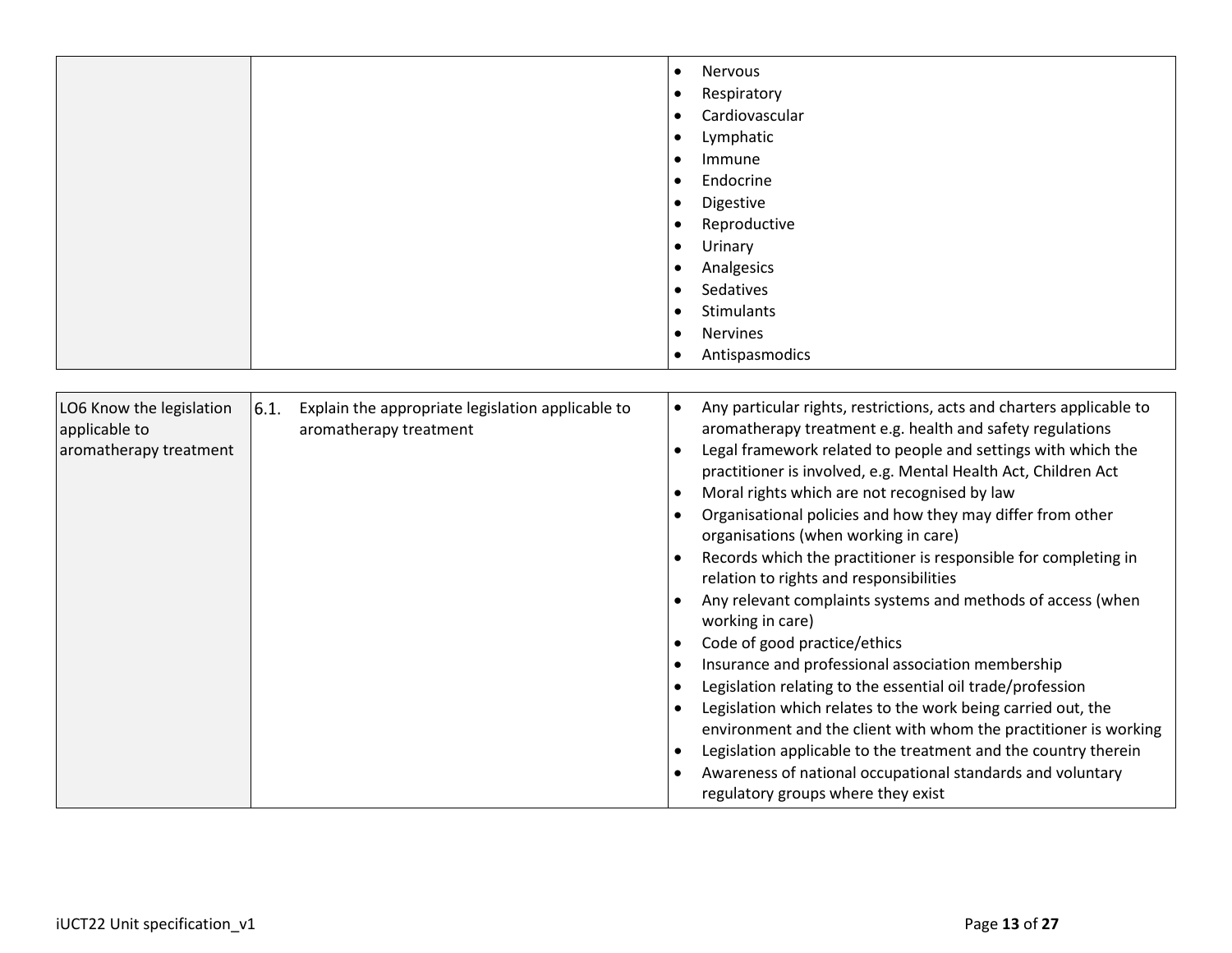|                                                                                                                                                            | <b>Nervous</b><br>$\bullet$                                                                                                                                                                                                                                                                                                                                                                                                                                                                                                                                                                                                                                                                                                                                                                                                                                                                                                                                                                                                                                                                                                                                                                                    |
|------------------------------------------------------------------------------------------------------------------------------------------------------------|----------------------------------------------------------------------------------------------------------------------------------------------------------------------------------------------------------------------------------------------------------------------------------------------------------------------------------------------------------------------------------------------------------------------------------------------------------------------------------------------------------------------------------------------------------------------------------------------------------------------------------------------------------------------------------------------------------------------------------------------------------------------------------------------------------------------------------------------------------------------------------------------------------------------------------------------------------------------------------------------------------------------------------------------------------------------------------------------------------------------------------------------------------------------------------------------------------------|
|                                                                                                                                                            | Respiratory<br>$\bullet$                                                                                                                                                                                                                                                                                                                                                                                                                                                                                                                                                                                                                                                                                                                                                                                                                                                                                                                                                                                                                                                                                                                                                                                       |
|                                                                                                                                                            | Cardiovascular<br>$\bullet$                                                                                                                                                                                                                                                                                                                                                                                                                                                                                                                                                                                                                                                                                                                                                                                                                                                                                                                                                                                                                                                                                                                                                                                    |
|                                                                                                                                                            | Lymphatic<br>$\bullet$                                                                                                                                                                                                                                                                                                                                                                                                                                                                                                                                                                                                                                                                                                                                                                                                                                                                                                                                                                                                                                                                                                                                                                                         |
|                                                                                                                                                            | Immune<br>$\bullet$                                                                                                                                                                                                                                                                                                                                                                                                                                                                                                                                                                                                                                                                                                                                                                                                                                                                                                                                                                                                                                                                                                                                                                                            |
|                                                                                                                                                            | Endocrine<br>$\bullet$                                                                                                                                                                                                                                                                                                                                                                                                                                                                                                                                                                                                                                                                                                                                                                                                                                                                                                                                                                                                                                                                                                                                                                                         |
|                                                                                                                                                            | Digestive<br>$\bullet$                                                                                                                                                                                                                                                                                                                                                                                                                                                                                                                                                                                                                                                                                                                                                                                                                                                                                                                                                                                                                                                                                                                                                                                         |
|                                                                                                                                                            | Reproductive                                                                                                                                                                                                                                                                                                                                                                                                                                                                                                                                                                                                                                                                                                                                                                                                                                                                                                                                                                                                                                                                                                                                                                                                   |
|                                                                                                                                                            | Urinary<br>$\bullet$                                                                                                                                                                                                                                                                                                                                                                                                                                                                                                                                                                                                                                                                                                                                                                                                                                                                                                                                                                                                                                                                                                                                                                                           |
|                                                                                                                                                            | Analgesics<br>$\bullet$                                                                                                                                                                                                                                                                                                                                                                                                                                                                                                                                                                                                                                                                                                                                                                                                                                                                                                                                                                                                                                                                                                                                                                                        |
|                                                                                                                                                            | Sedatives<br>$\bullet$                                                                                                                                                                                                                                                                                                                                                                                                                                                                                                                                                                                                                                                                                                                                                                                                                                                                                                                                                                                                                                                                                                                                                                                         |
|                                                                                                                                                            | Stimulants<br>$\bullet$                                                                                                                                                                                                                                                                                                                                                                                                                                                                                                                                                                                                                                                                                                                                                                                                                                                                                                                                                                                                                                                                                                                                                                                        |
|                                                                                                                                                            | <b>Nervines</b><br>$\bullet$                                                                                                                                                                                                                                                                                                                                                                                                                                                                                                                                                                                                                                                                                                                                                                                                                                                                                                                                                                                                                                                                                                                                                                                   |
|                                                                                                                                                            | Antispasmodics                                                                                                                                                                                                                                                                                                                                                                                                                                                                                                                                                                                                                                                                                                                                                                                                                                                                                                                                                                                                                                                                                                                                                                                                 |
|                                                                                                                                                            |                                                                                                                                                                                                                                                                                                                                                                                                                                                                                                                                                                                                                                                                                                                                                                                                                                                                                                                                                                                                                                                                                                                                                                                                                |
| 6.1.<br>LO6 Know the legislation<br>Explain the appropriate legislation applicable to<br>applicable to<br>aromatherapy treatment<br>aromatherapy treatment | Any particular rights, restrictions, acts and charters applicable to<br>$\bullet$<br>aromatherapy treatment e.g. health and safety regulations<br>Legal framework related to people and settings with which the<br>$\bullet$<br>practitioner is involved, e.g. Mental Health Act, Children Act<br>Moral rights which are not recognised by law<br>$\bullet$<br>Organisational policies and how they may differ from other<br>$\bullet$<br>organisations (when working in care)<br>Records which the practitioner is responsible for completing in<br>relation to rights and responsibilities<br>Any relevant complaints systems and methods of access (when<br>working in care)<br>Code of good practice/ethics<br>$\bullet$<br>Insurance and professional association membership<br>$\bullet$<br>Legislation relating to the essential oil trade/profession<br>$\bullet$<br>Legislation which relates to the work being carried out, the<br>$\bullet$<br>environment and the client with whom the practitioner is working<br>Legislation applicable to the treatment and the country therein<br>$\bullet$<br>Awareness of national occupational standards and voluntary<br>regulatory groups where they exist |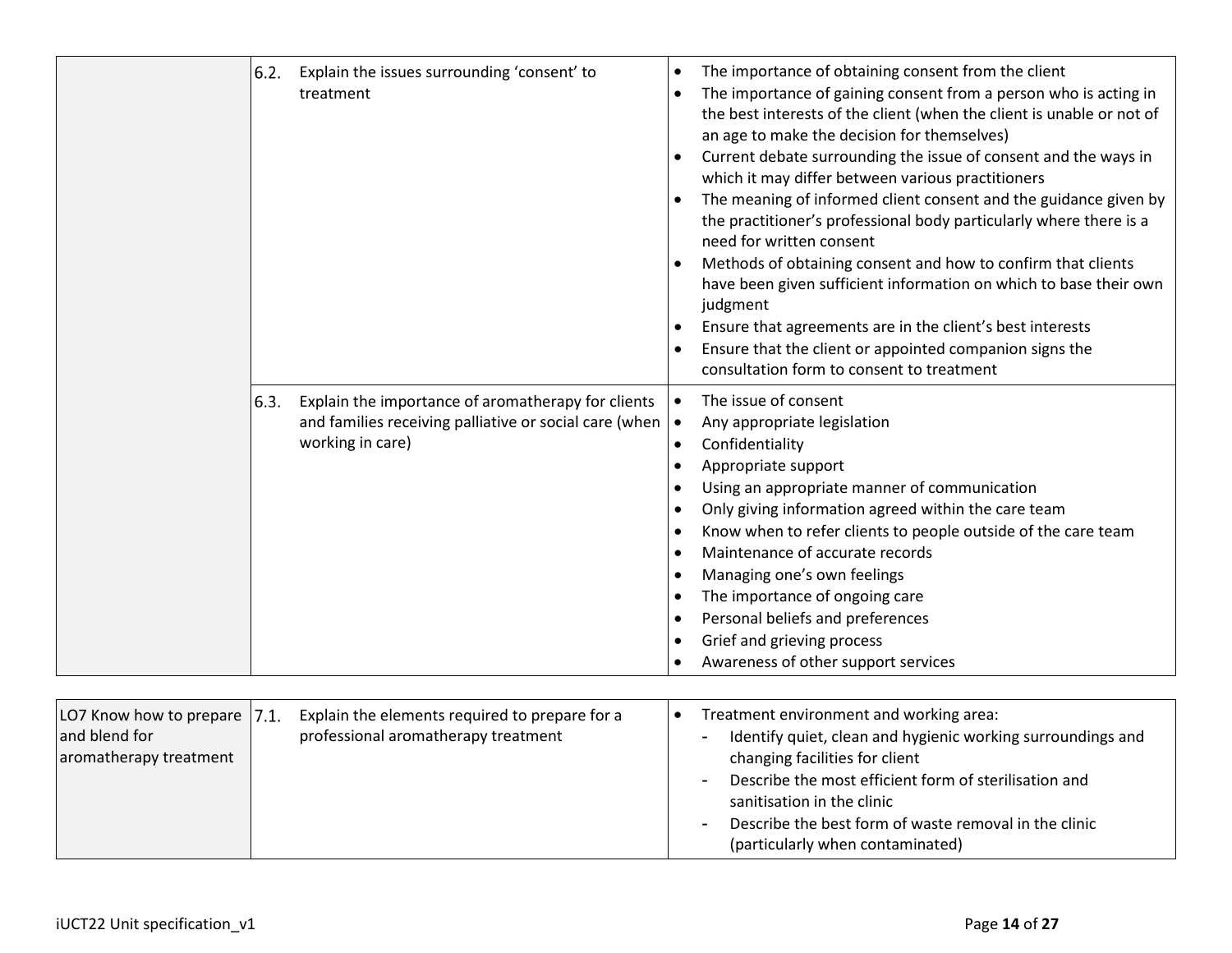| 6.2. | Explain the issues surrounding 'consent' to<br>treatment                                                                                               | $\bullet$<br>$\bullet$<br>$\bullet$ | The importance of obtaining consent from the client<br>The importance of gaining consent from a person who is acting in<br>the best interests of the client (when the client is unable or not of<br>an age to make the decision for themselves)<br>Current debate surrounding the issue of consent and the ways in<br>which it may differ between various practitioners<br>The meaning of informed client consent and the guidance given by<br>the practitioner's professional body particularly where there is a<br>need for written consent<br>Methods of obtaining consent and how to confirm that clients<br>have been given sufficient information on which to base their own<br>judgment<br>Ensure that agreements are in the client's best interests<br>Ensure that the client or appointed companion signs the<br>consultation form to consent to treatment |
|------|--------------------------------------------------------------------------------------------------------------------------------------------------------|-------------------------------------|---------------------------------------------------------------------------------------------------------------------------------------------------------------------------------------------------------------------------------------------------------------------------------------------------------------------------------------------------------------------------------------------------------------------------------------------------------------------------------------------------------------------------------------------------------------------------------------------------------------------------------------------------------------------------------------------------------------------------------------------------------------------------------------------------------------------------------------------------------------------|
| 6.3. | Explain the importance of aromatherapy for clients<br>and families receiving palliative or social care (when $\vert \bullet \vert$<br>working in care) | $\bullet$<br>$\bullet$<br>$\bullet$ | The issue of consent<br>Any appropriate legislation<br>Confidentiality<br>Appropriate support<br>Using an appropriate manner of communication<br>Only giving information agreed within the care team<br>Know when to refer clients to people outside of the care team<br>Maintenance of accurate records<br>Managing one's own feelings<br>The importance of ongoing care<br>Personal beliefs and preferences<br>Grief and grieving process<br>Awareness of other support services                                                                                                                                                                                                                                                                                                                                                                                  |

| Explain the elements required to prepare for a<br>LO7 Know how to prepare 7.1.<br>professional aromatherapy treatment<br>and blend for<br>aromatherapy treatment | Treatment environment and working area:<br>Identify quiet, clean and hygienic working surroundings and<br>$\blacksquare$<br>changing facilities for client<br>Describe the most efficient form of sterilisation and<br>$\sim$<br>sanitisation in the clinic<br>Describe the best form of waste removal in the clinic<br>$\sim$<br>(particularly when contaminated) |
|------------------------------------------------------------------------------------------------------------------------------------------------------------------|--------------------------------------------------------------------------------------------------------------------------------------------------------------------------------------------------------------------------------------------------------------------------------------------------------------------------------------------------------------------|
|------------------------------------------------------------------------------------------------------------------------------------------------------------------|--------------------------------------------------------------------------------------------------------------------------------------------------------------------------------------------------------------------------------------------------------------------------------------------------------------------------------------------------------------------|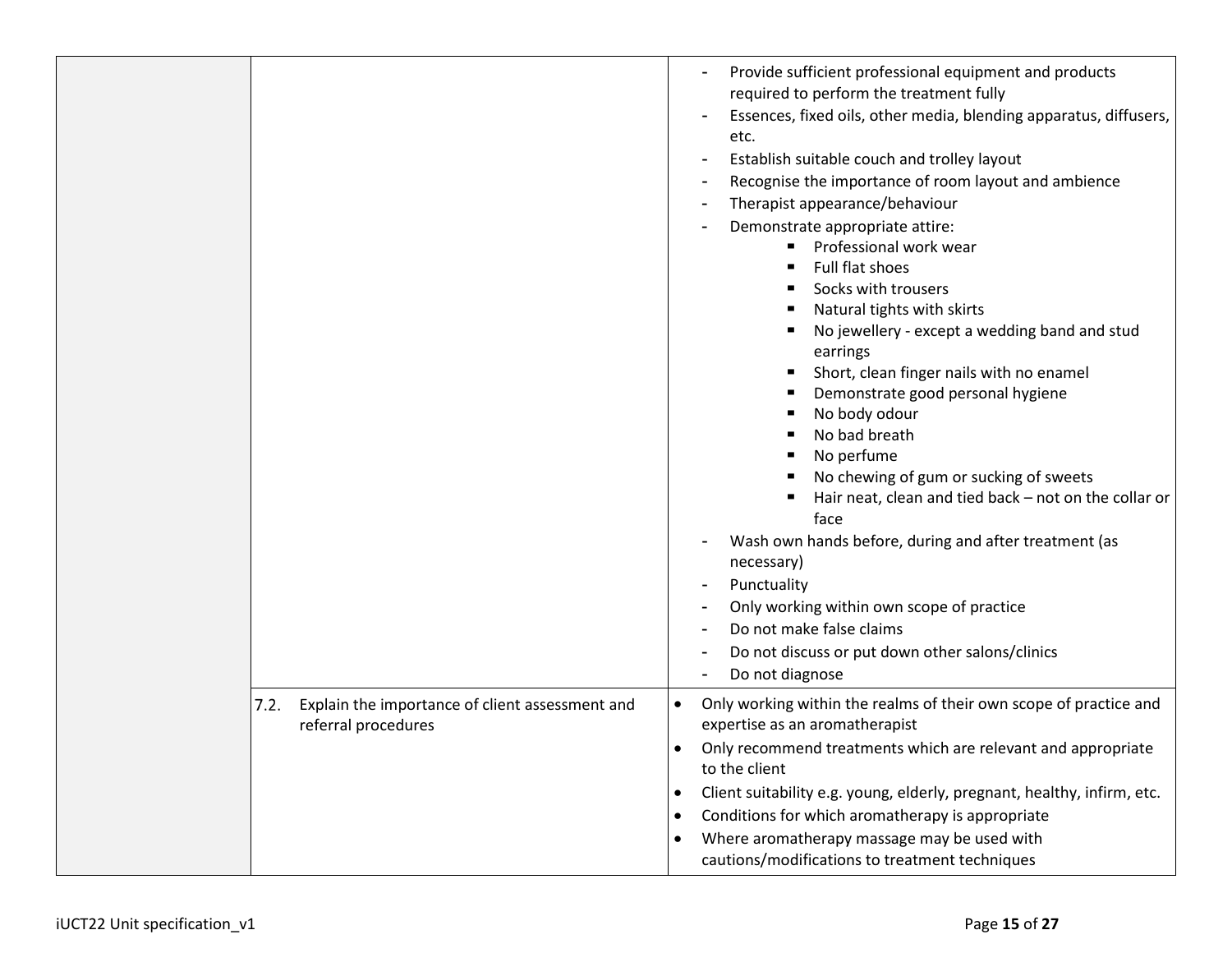|                                                                                | Provide sufficient professional equipment and products<br>required to perform the treatment fully<br>Essences, fixed oils, other media, blending apparatus, diffusers,<br>etc.<br>Establish suitable couch and trolley layout<br>Recognise the importance of room layout and ambience<br>Therapist appearance/behaviour<br>Demonstrate appropriate attire:<br>Professional work wear<br>Full flat shoes<br>Socks with trousers<br>Natural tights with skirts<br>No jewellery - except a wedding band and stud<br>earrings<br>Short, clean finger nails with no enamel<br>Demonstrate good personal hygiene<br>No body odour<br>No bad breath<br>No perfume<br>No chewing of gum or sucking of sweets<br>Hair neat, clean and tied back - not on the collar or<br>face<br>Wash own hands before, during and after treatment (as<br>necessary)<br>Punctuality<br>Only working within own scope of practice<br>Do not make false claims<br>Do not discuss or put down other salons/clinics<br>Do not diagnose |
|--------------------------------------------------------------------------------|------------------------------------------------------------------------------------------------------------------------------------------------------------------------------------------------------------------------------------------------------------------------------------------------------------------------------------------------------------------------------------------------------------------------------------------------------------------------------------------------------------------------------------------------------------------------------------------------------------------------------------------------------------------------------------------------------------------------------------------------------------------------------------------------------------------------------------------------------------------------------------------------------------------------------------------------------------------------------------------------------------|
| Explain the importance of client assessment and<br>7.2.<br>referral procedures | Only working within the realms of their own scope of practice and<br>$\bullet$<br>expertise as an aromatherapist<br>Only recommend treatments which are relevant and appropriate<br>$\bullet$<br>to the client<br>Client suitability e.g. young, elderly, pregnant, healthy, infirm, etc.<br>٠<br>Conditions for which aromatherapy is appropriate<br>$\bullet$<br>Where aromatherapy massage may be used with<br>٠<br>cautions/modifications to treatment techniques                                                                                                                                                                                                                                                                                                                                                                                                                                                                                                                                      |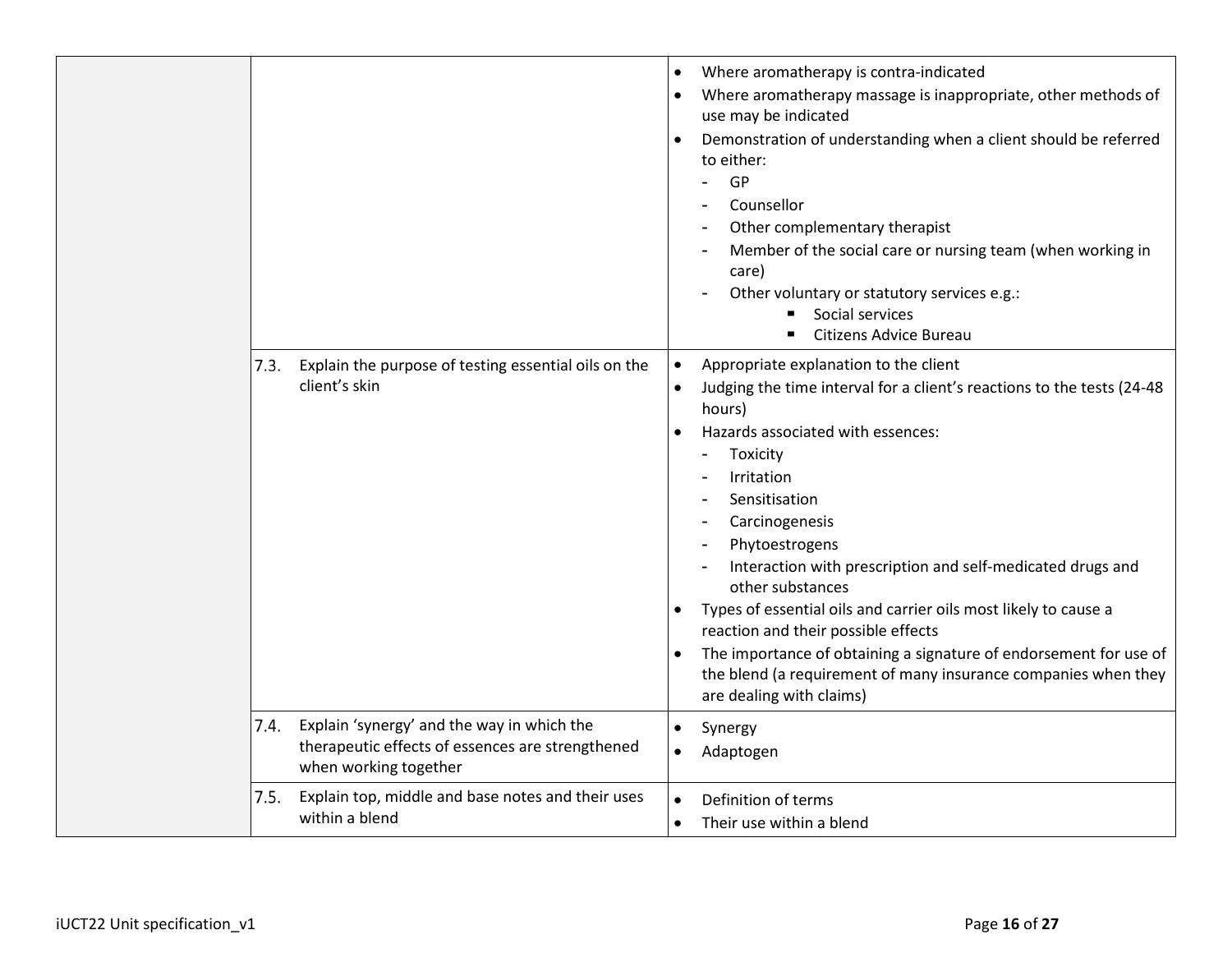|      |                                                                                                                         | Where aromatherapy is contra-indicated<br>Where aromatherapy massage is inappropriate, other methods of<br>use may be indicated<br>Demonstration of understanding when a client should be referred<br>to either:<br>GP<br>Counsellor<br>Other complementary therapist<br>Member of the social care or nursing team (when working in<br>care)<br>Other voluntary or statutory services e.g.:<br>Social services<br>Citizens Advice Bureau                                                                                                                                                                                                                 |
|------|-------------------------------------------------------------------------------------------------------------------------|----------------------------------------------------------------------------------------------------------------------------------------------------------------------------------------------------------------------------------------------------------------------------------------------------------------------------------------------------------------------------------------------------------------------------------------------------------------------------------------------------------------------------------------------------------------------------------------------------------------------------------------------------------|
| 7.3. | Explain the purpose of testing essential oils on the<br>client's skin                                                   | Appropriate explanation to the client<br>$\bullet$<br>Judging the time interval for a client's reactions to the tests (24-48<br>hours)<br>Hazards associated with essences:<br>Toxicity<br>$\blacksquare$<br>Irritation<br>Sensitisation<br>Carcinogenesis<br>Phytoestrogens<br>Interaction with prescription and self-medicated drugs and<br>other substances<br>Types of essential oils and carrier oils most likely to cause a<br>$\bullet$<br>reaction and their possible effects<br>The importance of obtaining a signature of endorsement for use of<br>the blend (a requirement of many insurance companies when they<br>are dealing with claims) |
| 7.4. | Explain 'synergy' and the way in which the<br>therapeutic effects of essences are strengthened<br>when working together | $\bullet$<br>Synergy<br>Adaptogen                                                                                                                                                                                                                                                                                                                                                                                                                                                                                                                                                                                                                        |
| 7.5. | Explain top, middle and base notes and their uses<br>within a blend                                                     | Definition of terms<br>$\bullet$<br>Their use within a blend<br>$\bullet$                                                                                                                                                                                                                                                                                                                                                                                                                                                                                                                                                                                |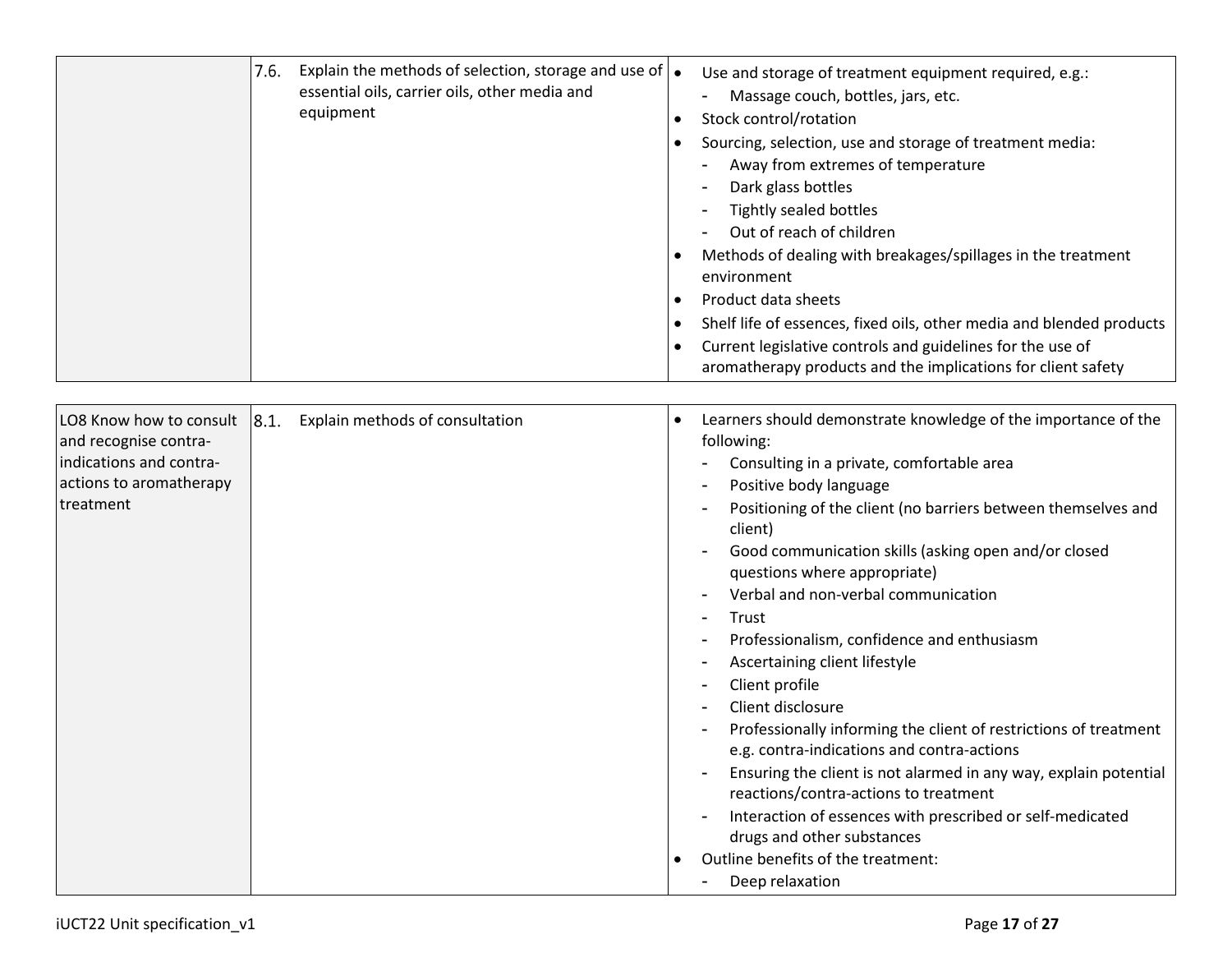|                                                                                                                     | 7.6. | Explain the methods of selection, storage and use of $\bullet$<br>essential oils, carrier oils, other media and<br>equipment | $\bullet$ | Use and storage of treatment equipment required, e.g.:<br>Massage couch, bottles, jars, etc.<br>Stock control/rotation<br>Sourcing, selection, use and storage of treatment media:<br>Away from extremes of temperature<br>Dark glass bottles<br><b>Tightly sealed bottles</b><br>Out of reach of children<br>Methods of dealing with breakages/spillages in the treatment<br>environment<br>Product data sheets<br>Shelf life of essences, fixed oils, other media and blended products<br>Current legislative controls and guidelines for the use of<br>aromatherapy products and the implications for client safety                                                                                                                                                                                                                                                                                                         |
|---------------------------------------------------------------------------------------------------------------------|------|------------------------------------------------------------------------------------------------------------------------------|-----------|--------------------------------------------------------------------------------------------------------------------------------------------------------------------------------------------------------------------------------------------------------------------------------------------------------------------------------------------------------------------------------------------------------------------------------------------------------------------------------------------------------------------------------------------------------------------------------------------------------------------------------------------------------------------------------------------------------------------------------------------------------------------------------------------------------------------------------------------------------------------------------------------------------------------------------|
| LO8 Know how to consult<br>and recognise contra-<br>indications and contra-<br>actions to aromatherapy<br>treatment | 8.1. | Explain methods of consultation                                                                                              | ٠         | Learners should demonstrate knowledge of the importance of the<br>following:<br>Consulting in a private, comfortable area<br>Positive body language<br>$\overline{\phantom{a}}$<br>Positioning of the client (no barriers between themselves and<br>client)<br>Good communication skills (asking open and/or closed<br>questions where appropriate)<br>Verbal and non-verbal communication<br>Trust<br>$\overline{a}$<br>Professionalism, confidence and enthusiasm<br>Ascertaining client lifestyle<br>Client profile<br>Client disclosure<br>Professionally informing the client of restrictions of treatment<br>e.g. contra-indications and contra-actions<br>Ensuring the client is not alarmed in any way, explain potential<br>reactions/contra-actions to treatment<br>Interaction of essences with prescribed or self-medicated<br>drugs and other substances<br>Outline benefits of the treatment:<br>Deep relaxation |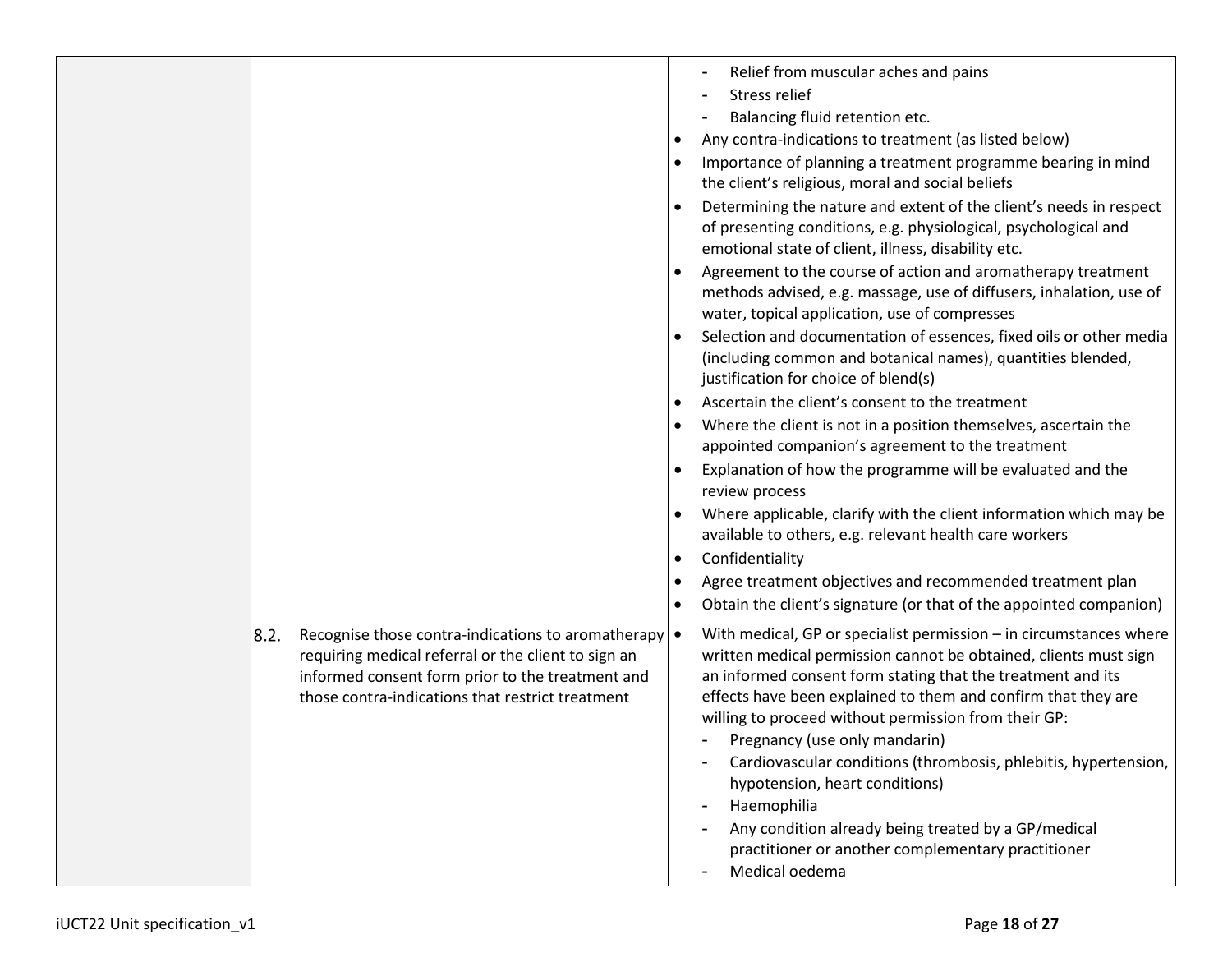|                                                                                                                                                                                                                           | Relief from muscular aches and pains<br>Stress relief<br>Balancing fluid retention etc.<br>Any contra-indications to treatment (as listed below)<br>Importance of planning a treatment programme bearing in mind<br>the client's religious, moral and social beliefs<br>Determining the nature and extent of the client's needs in respect<br>of presenting conditions, e.g. physiological, psychological and<br>emotional state of client, illness, disability etc.<br>Agreement to the course of action and aromatherapy treatment<br>methods advised, e.g. massage, use of diffusers, inhalation, use of<br>water, topical application, use of compresses<br>Selection and documentation of essences, fixed oils or other media<br>(including common and botanical names), quantities blended,<br>justification for choice of blend(s)<br>Ascertain the client's consent to the treatment<br>Where the client is not in a position themselves, ascertain the<br>appointed companion's agreement to the treatment<br>Explanation of how the programme will be evaluated and the<br>review process<br>Where applicable, clarify with the client information which may be<br>available to others, e.g. relevant health care workers<br>Confidentiality<br>Agree treatment objectives and recommended treatment plan<br>Obtain the client's signature (or that of the appointed companion) |
|---------------------------------------------------------------------------------------------------------------------------------------------------------------------------------------------------------------------------|-------------------------------------------------------------------------------------------------------------------------------------------------------------------------------------------------------------------------------------------------------------------------------------------------------------------------------------------------------------------------------------------------------------------------------------------------------------------------------------------------------------------------------------------------------------------------------------------------------------------------------------------------------------------------------------------------------------------------------------------------------------------------------------------------------------------------------------------------------------------------------------------------------------------------------------------------------------------------------------------------------------------------------------------------------------------------------------------------------------------------------------------------------------------------------------------------------------------------------------------------------------------------------------------------------------------------------------------------------------------------------------------|
| Recognise those contra-indications to aromatherapy<br>8.2.<br>requiring medical referral or the client to sign an<br>informed consent form prior to the treatment and<br>those contra-indications that restrict treatment | With medical, GP or specialist permission $-$ in circumstances where<br>$\bullet$<br>written medical permission cannot be obtained, clients must sign<br>an informed consent form stating that the treatment and its<br>effects have been explained to them and confirm that they are<br>willing to proceed without permission from their GP:<br>Pregnancy (use only mandarin)<br>Cardiovascular conditions (thrombosis, phlebitis, hypertension,<br>hypotension, heart conditions)<br>Haemophilia<br>Any condition already being treated by a GP/medical<br>practitioner or another complementary practitioner<br>Medical oedema                                                                                                                                                                                                                                                                                                                                                                                                                                                                                                                                                                                                                                                                                                                                                         |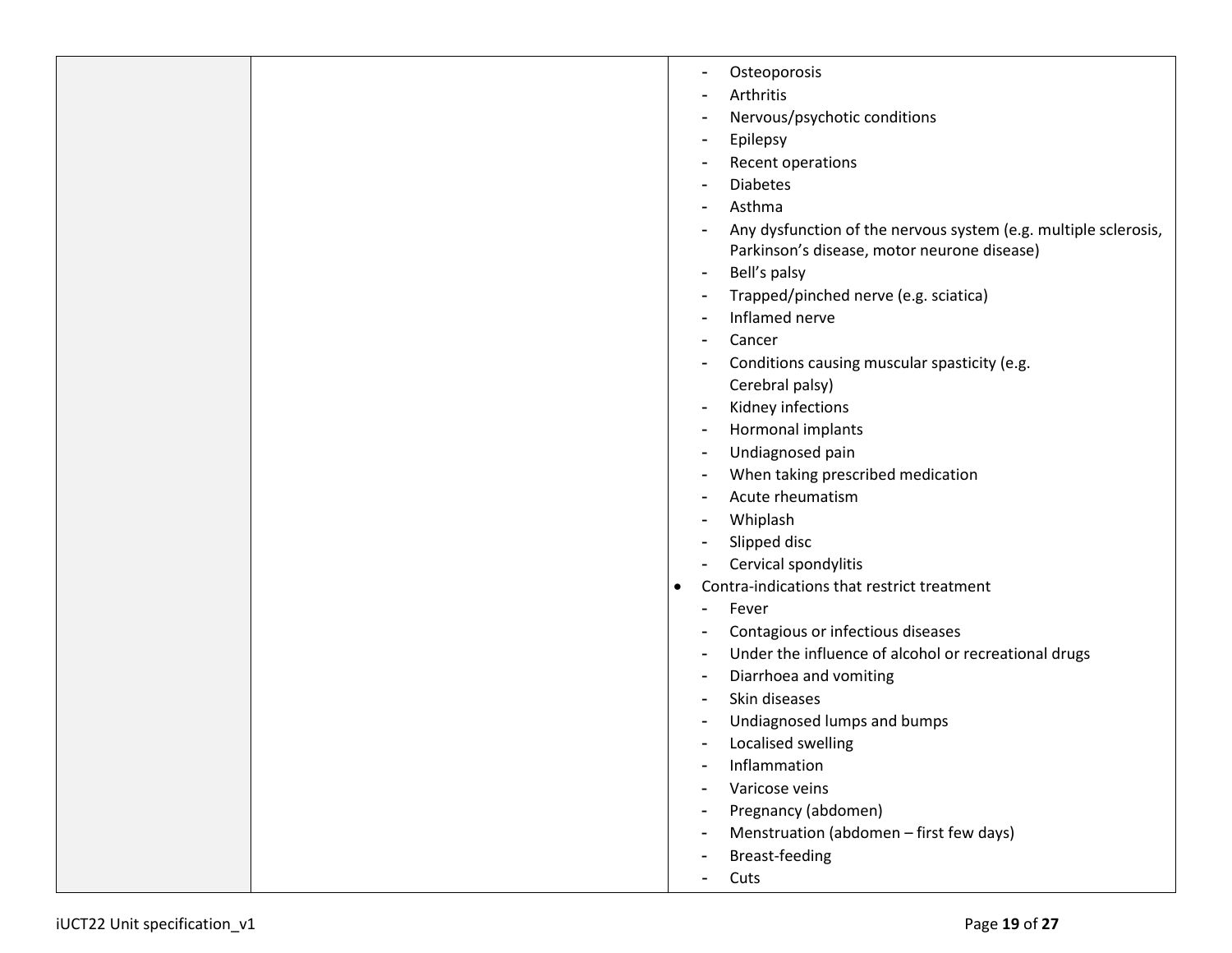| Osteoporosis<br>$\blacksquare$                                                                                                   |
|----------------------------------------------------------------------------------------------------------------------------------|
| Arthritis<br>$\overline{\phantom{a}}$                                                                                            |
| Nervous/psychotic conditions<br>$\overline{\phantom{a}}$                                                                         |
| Epilepsy<br>$\blacksquare$                                                                                                       |
| Recent operations<br>$\overline{\phantom{a}}$                                                                                    |
| <b>Diabetes</b><br>$\blacksquare$                                                                                                |
| Asthma<br>$\blacksquare$                                                                                                         |
| Any dysfunction of the nervous system (e.g. multiple sclerosis,<br>$\overline{a}$<br>Parkinson's disease, motor neurone disease) |
| Bell's palsy<br>$\blacksquare$                                                                                                   |
| Trapped/pinched nerve (e.g. sciatica)<br>$\blacksquare$                                                                          |
| Inflamed nerve<br>$\overline{\phantom{a}}$                                                                                       |
| Cancer<br>$\overline{\phantom{a}}$                                                                                               |
| Conditions causing muscular spasticity (e.g.<br>$\overline{\phantom{a}}$                                                         |
| Cerebral palsy)                                                                                                                  |
| Kidney infections<br>$\blacksquare$                                                                                              |
| Hormonal implants<br>$\overline{a}$                                                                                              |
| Undiagnosed pain<br>$\overline{\phantom{a}}$                                                                                     |
| When taking prescribed medication<br>$\overline{\phantom{a}}$                                                                    |
| Acute rheumatism<br>$\blacksquare$                                                                                               |
| Whiplash<br>$\blacksquare$                                                                                                       |
| Slipped disc                                                                                                                     |
| Cervical spondylitis                                                                                                             |
| Contra-indications that restrict treatment<br>$\bullet$                                                                          |
| Fever<br>$\overline{\phantom{a}}$                                                                                                |
| Contagious or infectious diseases<br>$\overline{\phantom{a}}$                                                                    |
| Under the influence of alcohol or recreational drugs<br>$\blacksquare$                                                           |
| Diarrhoea and vomiting<br>$\overline{\phantom{a}}$                                                                               |
| Skin diseases                                                                                                                    |
| Undiagnosed lumps and bumps                                                                                                      |
| Localised swelling<br>$\overline{\phantom{a}}$                                                                                   |
| Inflammation<br>$\blacksquare$                                                                                                   |
| Varicose veins                                                                                                                   |
| Pregnancy (abdomen)<br>-                                                                                                         |
| Menstruation (abdomen - first few days)                                                                                          |
| Breast-feeding<br>$\overline{\phantom{a}}$                                                                                       |
| Cuts<br>$\blacksquare$                                                                                                           |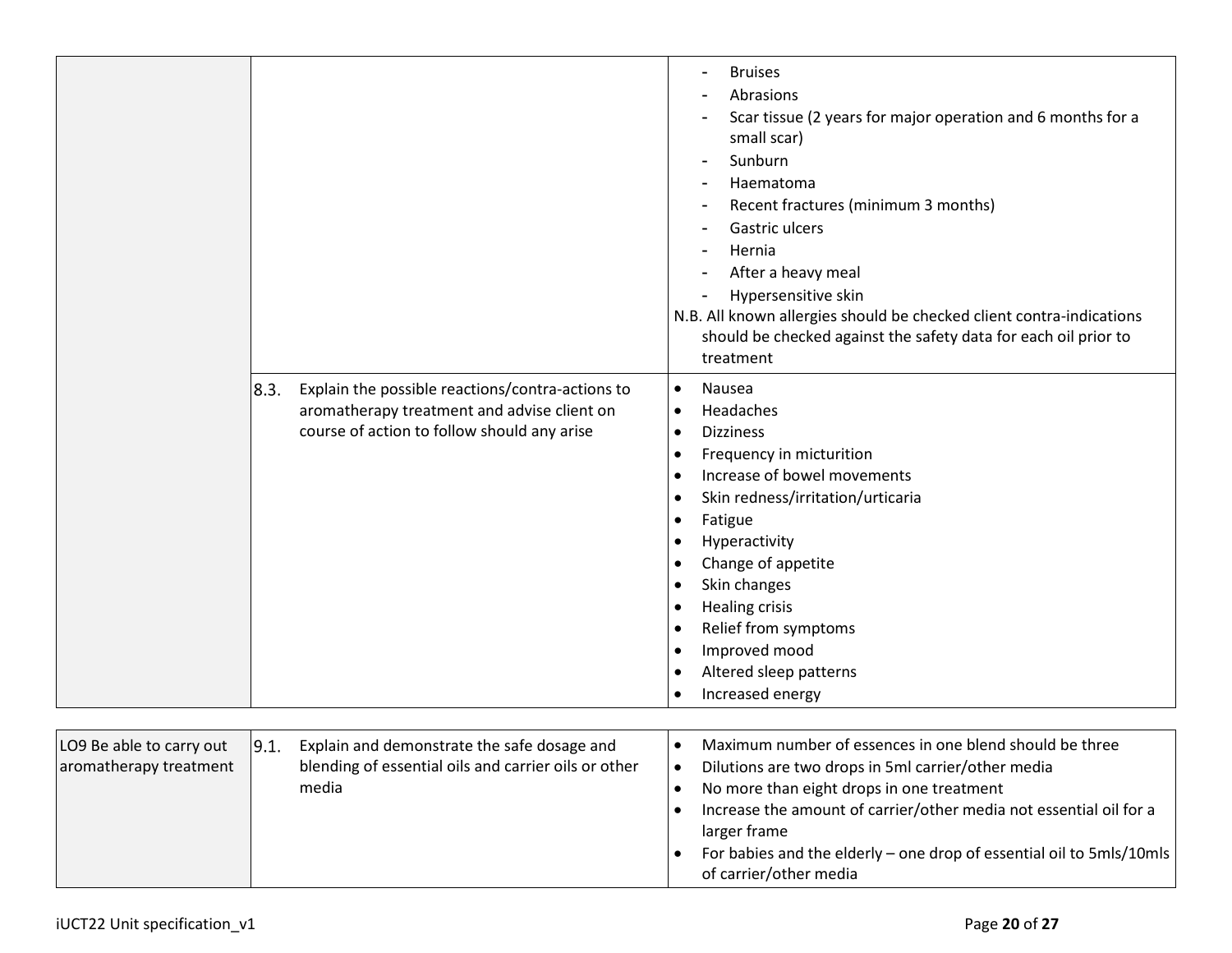|                                                    | 8.3.<br>Explain the possible reactions/contra-actions to<br>aromatherapy treatment and advise client on<br>course of action to follow should any arise | <b>Bruises</b><br>Abrasions<br>Scar tissue (2 years for major operation and 6 months for a<br>small scar)<br>Sunburn<br>Haematoma<br>Recent fractures (minimum 3 months)<br>Gastric ulcers<br>Hernia<br>After a heavy meal<br>Hypersensitive skin<br>N.B. All known allergies should be checked client contra-indications<br>should be checked against the safety data for each oil prior to<br>treatment<br>Nausea<br>$\bullet$<br>Headaches<br>$\bullet$<br><b>Dizziness</b><br>$\bullet$<br>Frequency in micturition<br>$\bullet$<br>Increase of bowel movements<br>$\bullet$<br>Skin redness/irritation/urticaria<br>$\bullet$<br>Fatigue<br>$\bullet$<br>Hyperactivity<br>$\bullet$<br>Change of appetite<br>$\bullet$<br>Skin changes<br>$\bullet$<br>Healing crisis<br>$\bullet$<br>Relief from symptoms<br>$\bullet$<br>Improved mood<br>$\bullet$<br>Altered sleep patterns<br>$\bullet$<br>Increased energy<br>$\bullet$ |
|----------------------------------------------------|--------------------------------------------------------------------------------------------------------------------------------------------------------|------------------------------------------------------------------------------------------------------------------------------------------------------------------------------------------------------------------------------------------------------------------------------------------------------------------------------------------------------------------------------------------------------------------------------------------------------------------------------------------------------------------------------------------------------------------------------------------------------------------------------------------------------------------------------------------------------------------------------------------------------------------------------------------------------------------------------------------------------------------------------------------------------------------------------------|
|                                                    |                                                                                                                                                        |                                                                                                                                                                                                                                                                                                                                                                                                                                                                                                                                                                                                                                                                                                                                                                                                                                                                                                                                    |
| LO9 Be able to carry out<br>aromatherapy treatment | 9.1.<br>Explain and demonstrate the safe dosage and<br>blending of essential oils and carrier oils or other<br>media                                   | Maximum number of essences in one blend should be three<br>$\bullet$<br>Dilutions are two drops in 5ml carrier/other media<br>$\bullet$<br>No more than eight drops in one treatment<br>$\bullet$<br>Increase the amount of carrier/other media not essential oil for a<br>larger frame<br>For babies and the elderly - one drop of essential oil to 5mls/10mls<br>of carrier/other media                                                                                                                                                                                                                                                                                                                                                                                                                                                                                                                                          |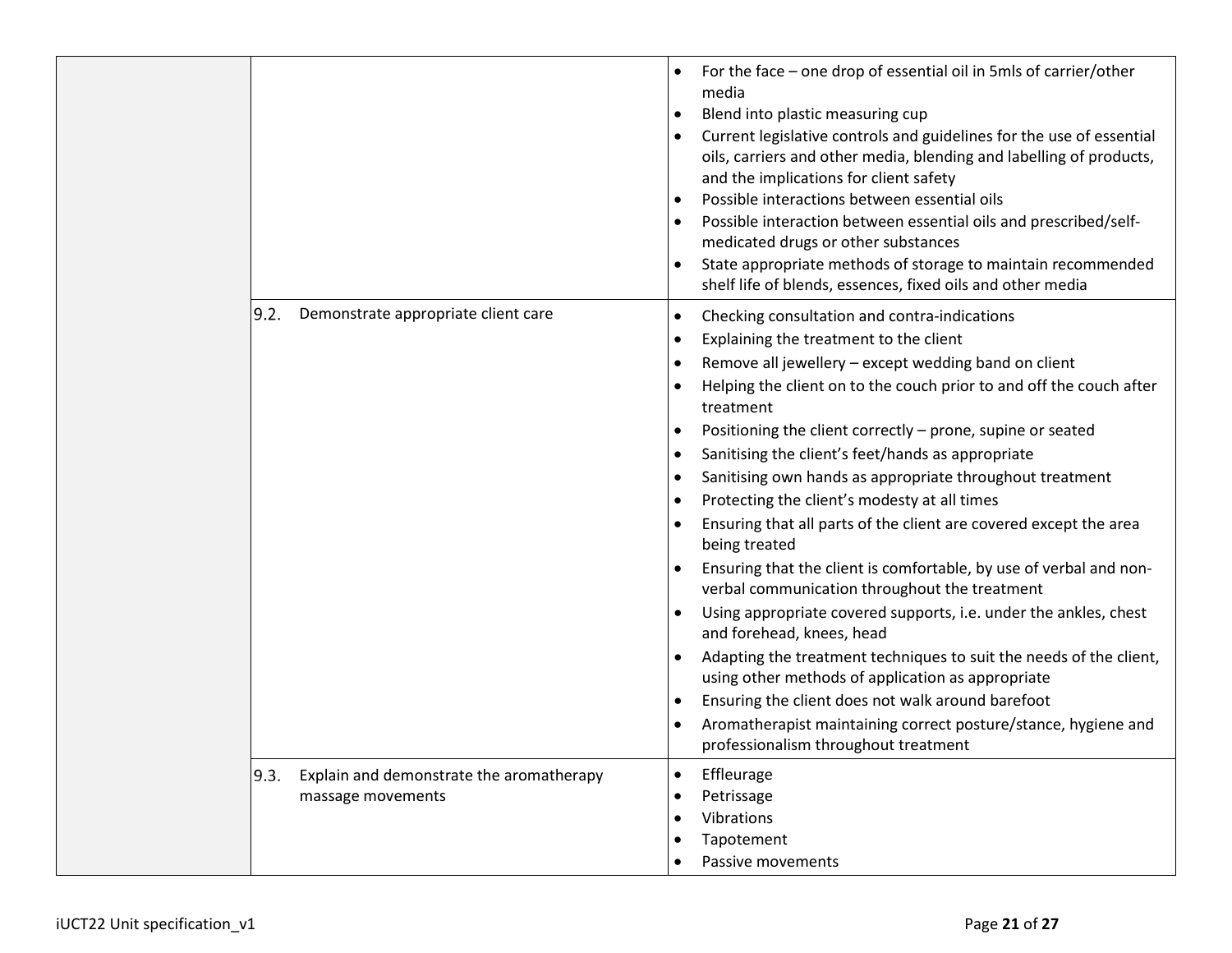|                                                                       | For the face – one drop of essential oil in 5mls of carrier/other<br>media<br>Blend into plastic measuring cup<br>٠<br>Current legislative controls and guidelines for the use of essential<br>$\bullet$<br>oils, carriers and other media, blending and labelling of products,<br>and the implications for client safety<br>Possible interactions between essential oils<br>$\bullet$<br>Possible interaction between essential oils and prescribed/self-<br>٠<br>medicated drugs or other substances<br>State appropriate methods of storage to maintain recommended<br>٠<br>shelf life of blends, essences, fixed oils and other media                                                                                                                                                                                                                                                                                                                                                                                                                                                                                                             |
|-----------------------------------------------------------------------|-------------------------------------------------------------------------------------------------------------------------------------------------------------------------------------------------------------------------------------------------------------------------------------------------------------------------------------------------------------------------------------------------------------------------------------------------------------------------------------------------------------------------------------------------------------------------------------------------------------------------------------------------------------------------------------------------------------------------------------------------------------------------------------------------------------------------------------------------------------------------------------------------------------------------------------------------------------------------------------------------------------------------------------------------------------------------------------------------------------------------------------------------------|
| Demonstrate appropriate client care<br>9.2.                           | Checking consultation and contra-indications<br>٠<br>Explaining the treatment to the client<br>٠<br>Remove all jewellery - except wedding band on client<br>٠<br>Helping the client on to the couch prior to and off the couch after<br>$\bullet$<br>treatment<br>Positioning the client correctly - prone, supine or seated<br>٠<br>Sanitising the client's feet/hands as appropriate<br>٠<br>Sanitising own hands as appropriate throughout treatment<br>٠<br>Protecting the client's modesty at all times<br>٠<br>Ensuring that all parts of the client are covered except the area<br>٠<br>being treated<br>Ensuring that the client is comfortable, by use of verbal and non-<br>verbal communication throughout the treatment<br>Using appropriate covered supports, i.e. under the ankles, chest<br>٠<br>and forehead, knees, head<br>Adapting the treatment techniques to suit the needs of the client,<br>$\bullet$<br>using other methods of application as appropriate<br>Ensuring the client does not walk around barefoot<br>٠<br>Aromatherapist maintaining correct posture/stance, hygiene and<br>professionalism throughout treatment |
| 9.3.<br>Explain and demonstrate the aromatherapy<br>massage movements | Effleurage<br>$\bullet$<br>Petrissage<br>$\bullet$<br>Vibrations<br>$\bullet$<br>Tapotement<br>Passive movements                                                                                                                                                                                                                                                                                                                                                                                                                                                                                                                                                                                                                                                                                                                                                                                                                                                                                                                                                                                                                                      |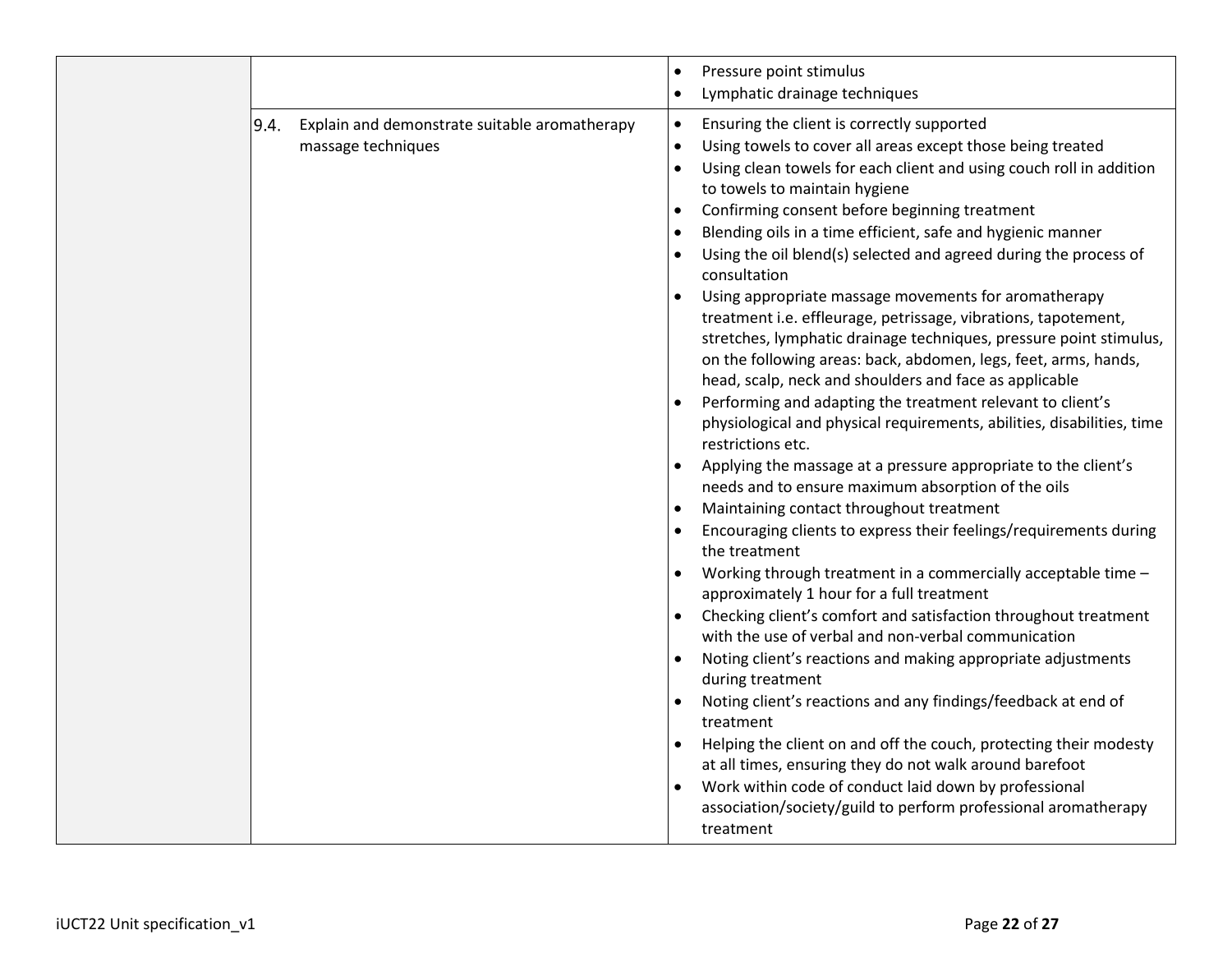|                                                                             | Pressure point stimulus<br>$\bullet$<br>Lymphatic drainage techniques<br>$\bullet$                                                                                                                                                                                                                                                                                                                                                                                                                                                                                                                                                                                                                                                                                                                                                                                                                                                                                                                                                                                                                                                                                                                                                                                                                                                                                                                                                                                                                                                                                                                                                                                                                                                                                                                                                                                                                |
|-----------------------------------------------------------------------------|---------------------------------------------------------------------------------------------------------------------------------------------------------------------------------------------------------------------------------------------------------------------------------------------------------------------------------------------------------------------------------------------------------------------------------------------------------------------------------------------------------------------------------------------------------------------------------------------------------------------------------------------------------------------------------------------------------------------------------------------------------------------------------------------------------------------------------------------------------------------------------------------------------------------------------------------------------------------------------------------------------------------------------------------------------------------------------------------------------------------------------------------------------------------------------------------------------------------------------------------------------------------------------------------------------------------------------------------------------------------------------------------------------------------------------------------------------------------------------------------------------------------------------------------------------------------------------------------------------------------------------------------------------------------------------------------------------------------------------------------------------------------------------------------------------------------------------------------------------------------------------------------------|
| 9.4.<br>Explain and demonstrate suitable aromatherapy<br>massage techniques | Ensuring the client is correctly supported<br>$\bullet$<br>Using towels to cover all areas except those being treated<br>$\bullet$<br>Using clean towels for each client and using couch roll in addition<br>$\bullet$<br>to towels to maintain hygiene<br>Confirming consent before beginning treatment<br>Blending oils in a time efficient, safe and hygienic manner<br>Using the oil blend(s) selected and agreed during the process of<br>consultation<br>Using appropriate massage movements for aromatherapy<br>treatment i.e. effleurage, petrissage, vibrations, tapotement,<br>stretches, lymphatic drainage techniques, pressure point stimulus,<br>on the following areas: back, abdomen, legs, feet, arms, hands,<br>head, scalp, neck and shoulders and face as applicable<br>Performing and adapting the treatment relevant to client's<br>physiological and physical requirements, abilities, disabilities, time<br>restrictions etc.<br>Applying the massage at a pressure appropriate to the client's<br>needs and to ensure maximum absorption of the oils<br>Maintaining contact throughout treatment<br>Encouraging clients to express their feelings/requirements during<br>the treatment<br>Working through treatment in a commercially acceptable time -<br>approximately 1 hour for a full treatment<br>Checking client's comfort and satisfaction throughout treatment<br>with the use of verbal and non-verbal communication<br>Noting client's reactions and making appropriate adjustments<br>during treatment<br>Noting client's reactions and any findings/feedback at end of<br>treatment<br>Helping the client on and off the couch, protecting their modesty<br>at all times, ensuring they do not walk around barefoot<br>Work within code of conduct laid down by professional<br>association/society/guild to perform professional aromatherapy<br>treatment |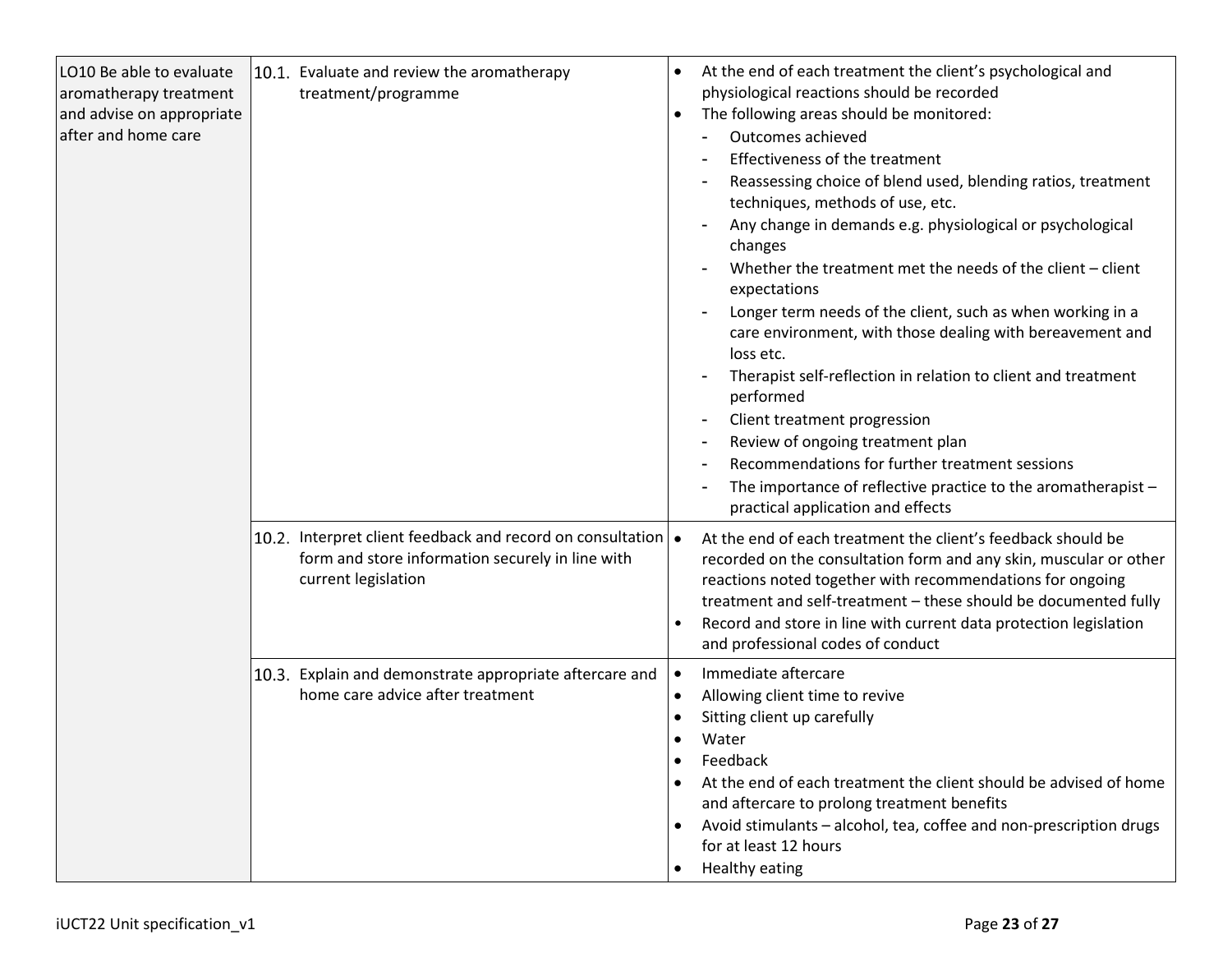| LO10 Be able to evaluate<br>aromatherapy treatment<br>and advise on appropriate<br>after and home care | 10.1. Evaluate and review the aromatherapy<br>treatment/programme                                                                               | At the end of each treatment the client's psychological and<br>physiological reactions should be recorded<br>The following areas should be monitored:<br>$\bullet$<br>Outcomes achieved<br>Effectiveness of the treatment<br>Reassessing choice of blend used, blending ratios, treatment<br>techniques, methods of use, etc.<br>Any change in demands e.g. physiological or psychological<br>changes<br>Whether the treatment met the needs of the client - client<br>expectations<br>Longer term needs of the client, such as when working in a<br>care environment, with those dealing with bereavement and<br>loss etc.<br>Therapist self-reflection in relation to client and treatment<br>performed<br>Client treatment progression<br>$\blacksquare$<br>Review of ongoing treatment plan<br>$\overline{\phantom{a}}$<br>Recommendations for further treatment sessions<br>The importance of reflective practice to the aromatherapist -<br>practical application and effects |
|--------------------------------------------------------------------------------------------------------|-------------------------------------------------------------------------------------------------------------------------------------------------|-------------------------------------------------------------------------------------------------------------------------------------------------------------------------------------------------------------------------------------------------------------------------------------------------------------------------------------------------------------------------------------------------------------------------------------------------------------------------------------------------------------------------------------------------------------------------------------------------------------------------------------------------------------------------------------------------------------------------------------------------------------------------------------------------------------------------------------------------------------------------------------------------------------------------------------------------------------------------------------|
|                                                                                                        | 10.2. Interpret client feedback and record on consultation $\bullet$<br>form and store information securely in line with<br>current legislation | At the end of each treatment the client's feedback should be<br>recorded on the consultation form and any skin, muscular or other<br>reactions noted together with recommendations for ongoing<br>treatment and self-treatment - these should be documented fully<br>Record and store in line with current data protection legislation<br>$\bullet$<br>and professional codes of conduct                                                                                                                                                                                                                                                                                                                                                                                                                                                                                                                                                                                            |
|                                                                                                        | 10.3. Explain and demonstrate appropriate aftercare and<br>home care advice after treatment                                                     | Immediate aftercare<br>$\bullet$<br>Allowing client time to revive<br>$\bullet$<br>Sitting client up carefully<br>Water<br>Feedback<br>٠<br>At the end of each treatment the client should be advised of home<br>and aftercare to prolong treatment benefits<br>Avoid stimulants - alcohol, tea, coffee and non-prescription drugs<br>for at least 12 hours<br>Healthy eating                                                                                                                                                                                                                                                                                                                                                                                                                                                                                                                                                                                                       |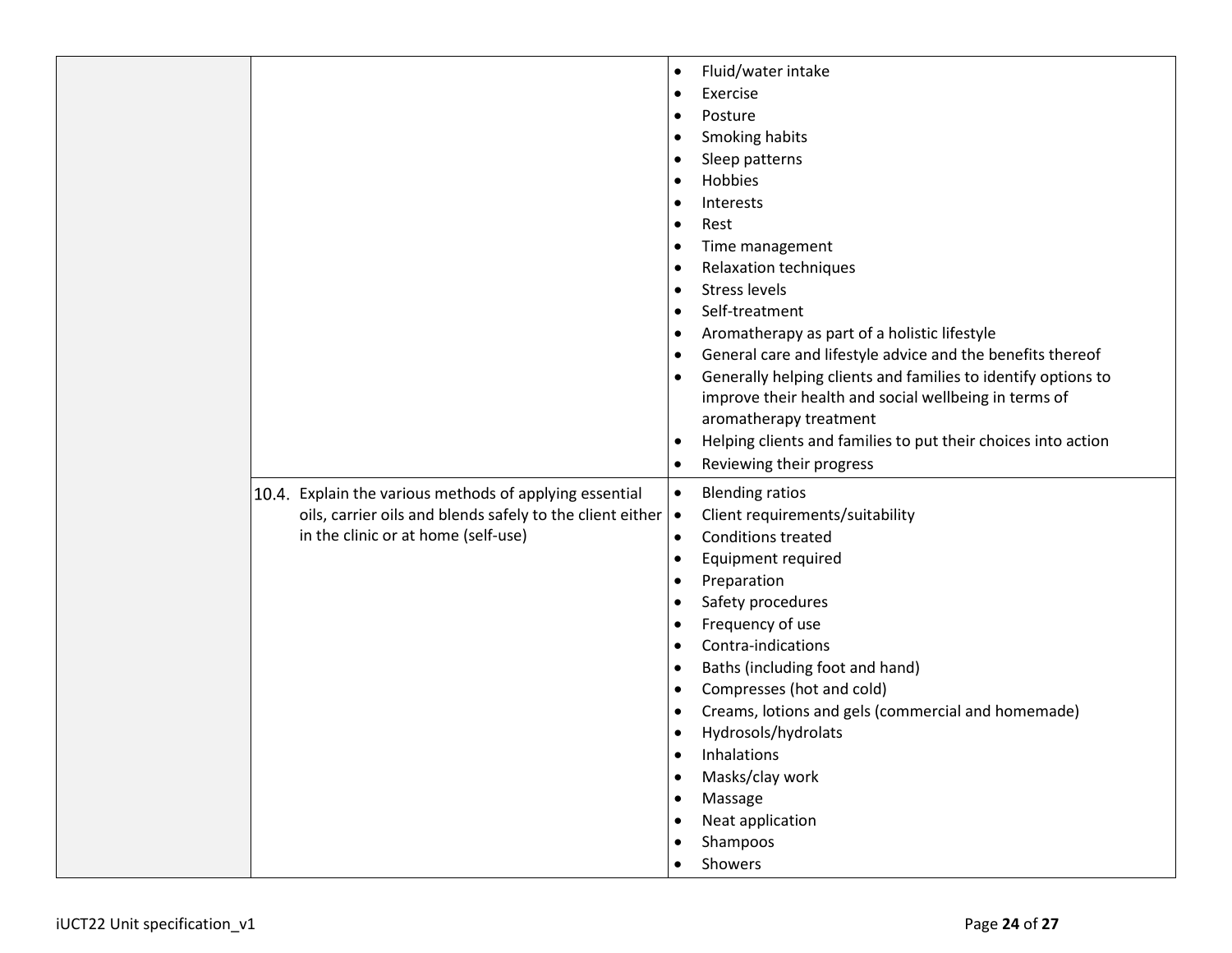|                                                                                                                                                             | Fluid/water intake<br>Exercise<br>$\bullet$<br>Posture<br>٠<br>Smoking habits<br>Sleep patterns<br>Hobbies<br>Interests<br>Rest<br>$\bullet$<br>Time management<br><b>Relaxation techniques</b><br><b>Stress levels</b><br>Self-treatment<br>$\bullet$<br>Aromatherapy as part of a holistic lifestyle                                                                                                                                               |
|-------------------------------------------------------------------------------------------------------------------------------------------------------------|------------------------------------------------------------------------------------------------------------------------------------------------------------------------------------------------------------------------------------------------------------------------------------------------------------------------------------------------------------------------------------------------------------------------------------------------------|
|                                                                                                                                                             | General care and lifestyle advice and the benefits thereof<br>Generally helping clients and families to identify options to<br>improve their health and social wellbeing in terms of<br>aromatherapy treatment<br>Helping clients and families to put their choices into action<br>$\bullet$<br>Reviewing their progress<br>٠                                                                                                                        |
| 10.4. Explain the various methods of applying essential<br>oils, carrier oils and blends safely to the client either<br>in the clinic or at home (self-use) | <b>Blending ratios</b><br>$\bullet$<br>Client requirements/suitability<br>$\bullet$<br><b>Conditions treated</b><br>$\bullet$<br>Equipment required<br>Preparation<br>٠<br>Safety procedures<br>Frequency of use<br>Contra-indications<br>Baths (including foot and hand)<br>Compresses (hot and cold)<br>Creams, lotions and gels (commercial and homemade)<br>Hydrosols/hydrolats<br>Inhalations<br>Masks/clay work<br>Massage<br>Neat application |
|                                                                                                                                                             | Shampoos<br>Showers                                                                                                                                                                                                                                                                                                                                                                                                                                  |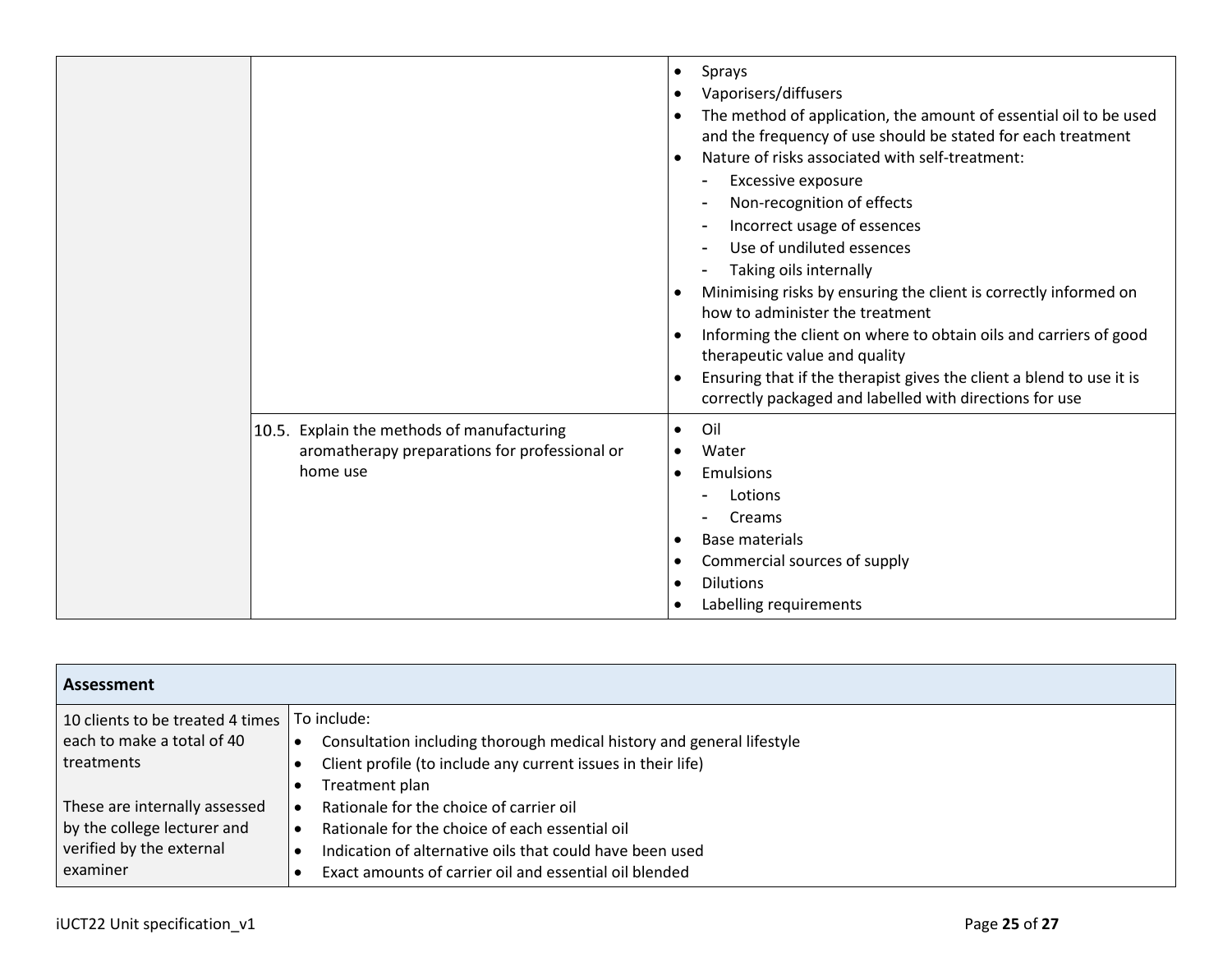|                                                                                                         | Sprays<br>$\bullet$<br>Vaporisers/diffusers<br>$\bullet$<br>The method of application, the amount of essential oil to be used<br>$\bullet$<br>and the frequency of use should be stated for each treatment<br>Nature of risks associated with self-treatment:<br>$\bullet$<br>Excessive exposure<br>۰<br>Non-recognition of effects<br>Incorrect usage of essences<br>Use of undiluted essences<br>Taking oils internally<br>Minimising risks by ensuring the client is correctly informed on<br>$\bullet$<br>how to administer the treatment<br>Informing the client on where to obtain oils and carriers of good<br>$\bullet$<br>therapeutic value and quality<br>Ensuring that if the therapist gives the client a blend to use it is<br>correctly packaged and labelled with directions for use |
|---------------------------------------------------------------------------------------------------------|-----------------------------------------------------------------------------------------------------------------------------------------------------------------------------------------------------------------------------------------------------------------------------------------------------------------------------------------------------------------------------------------------------------------------------------------------------------------------------------------------------------------------------------------------------------------------------------------------------------------------------------------------------------------------------------------------------------------------------------------------------------------------------------------------------|
| 10.5. Explain the methods of manufacturing<br>aromatherapy preparations for professional or<br>home use | Oil<br>$\bullet$<br>Water<br>$\bullet$<br>Emulsions<br>$\bullet$<br>Lotions<br>Creams<br><b>Base materials</b><br>$\bullet$<br>Commercial sources of supply<br>$\bullet$<br><b>Dilutions</b><br>$\bullet$<br>Labelling requirements<br>$\bullet$                                                                                                                                                                                                                                                                                                                                                                                                                                                                                                                                                    |

| Assessment                       |                                                                       |  |
|----------------------------------|-----------------------------------------------------------------------|--|
| 10 clients to be treated 4 times | To include:                                                           |  |
| each to make a total of 40       | Consultation including thorough medical history and general lifestyle |  |
| treatments                       | Client profile (to include any current issues in their life)          |  |
|                                  | Treatment plan                                                        |  |
| These are internally assessed    | Rationale for the choice of carrier oil                               |  |
| by the college lecturer and      | Rationale for the choice of each essential oil                        |  |
| verified by the external         | Indication of alternative oils that could have been used              |  |
| examiner                         | Exact amounts of carrier oil and essential oil blended                |  |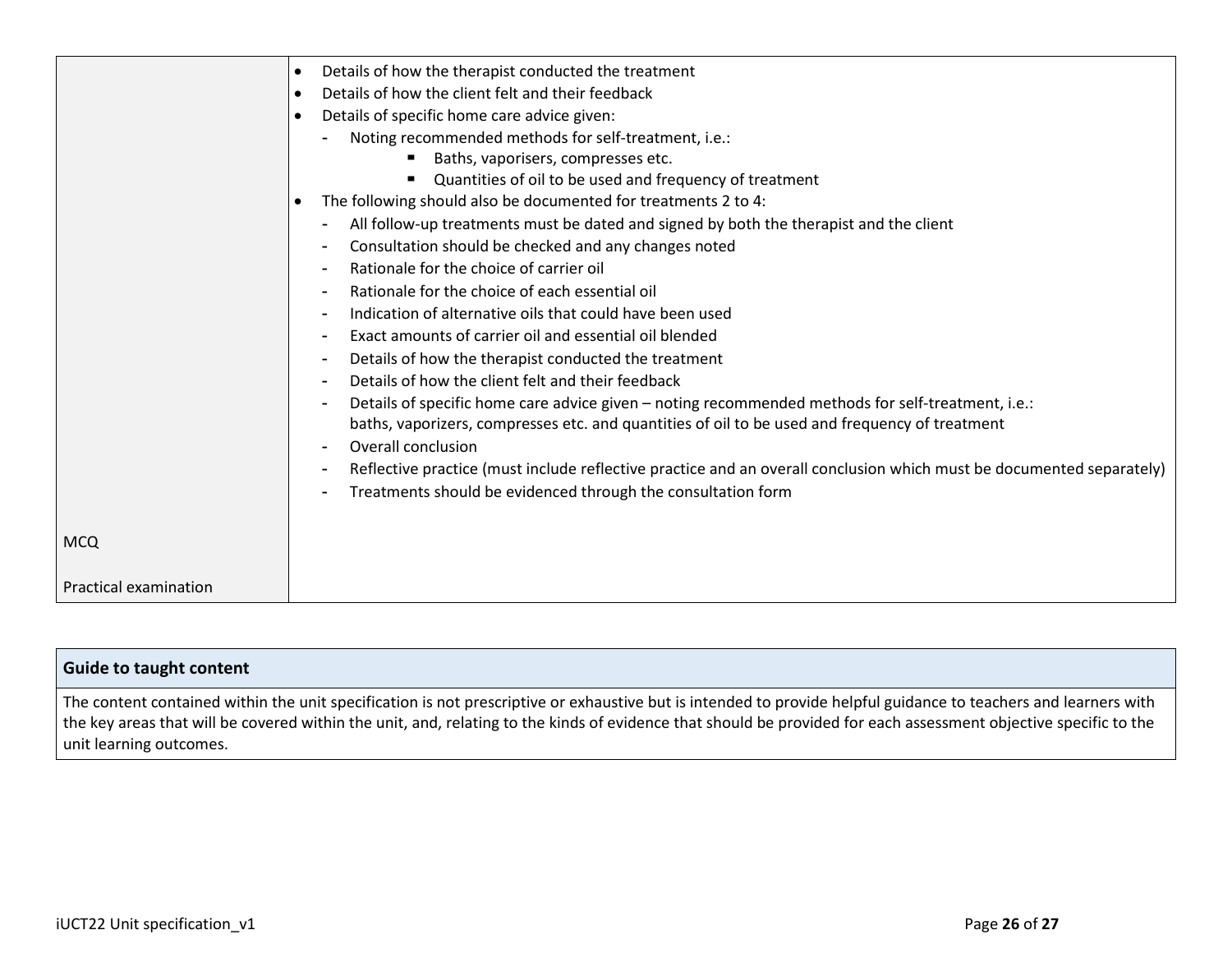|                       | Details of how the therapist conducted the treatment<br>$\bullet$                                                    |
|-----------------------|----------------------------------------------------------------------------------------------------------------------|
|                       | Details of how the client felt and their feedback<br>$\bullet$                                                       |
|                       | Details of specific home care advice given:<br>$\bullet$                                                             |
|                       | Noting recommended methods for self-treatment, i.e.:                                                                 |
|                       | Baths, vaporisers, compresses etc.                                                                                   |
|                       | Quantities of oil to be used and frequency of treatment                                                              |
|                       | The following should also be documented for treatments 2 to 4:                                                       |
|                       | All follow-up treatments must be dated and signed by both the therapist and the client                               |
|                       | Consultation should be checked and any changes noted                                                                 |
|                       | Rationale for the choice of carrier oil                                                                              |
|                       | Rationale for the choice of each essential oil                                                                       |
|                       | Indication of alternative oils that could have been used                                                             |
|                       | Exact amounts of carrier oil and essential oil blended                                                               |
|                       | Details of how the therapist conducted the treatment                                                                 |
|                       | Details of how the client felt and their feedback                                                                    |
|                       | Details of specific home care advice given - noting recommended methods for self-treatment, i.e.:                    |
|                       | baths, vaporizers, compresses etc. and quantities of oil to be used and frequency of treatment                       |
|                       | <b>Overall conclusion</b>                                                                                            |
|                       | Reflective practice (must include reflective practice and an overall conclusion which must be documented separately) |
|                       | Treatments should be evidenced through the consultation form                                                         |
|                       |                                                                                                                      |
| <b>MCQ</b>            |                                                                                                                      |
|                       |                                                                                                                      |
| Practical examination |                                                                                                                      |

| Guide to taught content                                                                                                                                                                                                                                                                                                                                        |
|----------------------------------------------------------------------------------------------------------------------------------------------------------------------------------------------------------------------------------------------------------------------------------------------------------------------------------------------------------------|
| The content contained within the unit specification is not prescriptive or exhaustive but is intended to provide helpful guidance to teachers and learners with<br>the key areas that will be covered within the unit, and, relating to the kinds of evidence that should be provided for each assessment objective specific to the<br>unit learning outcomes. |